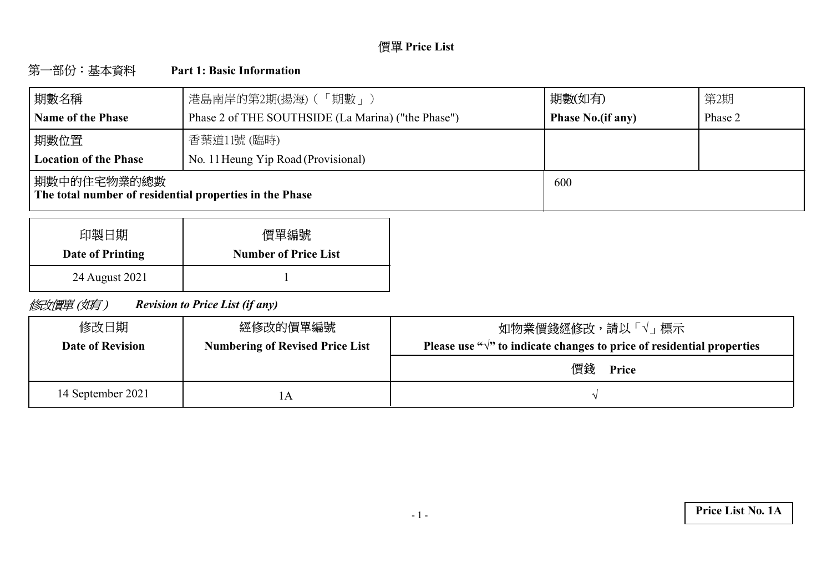# **Price List**

#### 第一部份:基本資料 **Part 1: Basic Information**

| 期數名稱                                                                    | 港島南岸的第2期(揚海) (「期數」)                                | 期數(如有)                   | 第2期     |
|-------------------------------------------------------------------------|----------------------------------------------------|--------------------------|---------|
| <b>Name of the Phase</b>                                                | Phase 2 of THE SOUTHSIDE (La Marina) ("the Phase") | <b>Phase No.(if any)</b> | Phase 2 |
| 期數位置                                                                    | 香葉道11號 (臨時)                                        |                          |         |
| <b>Location of the Phase</b>                                            | No. 11 Heung Yip Road (Provisional)                |                          |         |
| 期數中的住宅物業的總數 <br>The total number of residential properties in the Phase |                                                    | 600                      |         |

| 印製日期             | 價單編號                        |
|------------------|-----------------------------|
| Date of Printing | <b>Number of Price List</b> |
| 24 August 2021   |                             |

修改價單(如有) *Revision to Price List (if any)*

| 修改日期<br><b>Date of Revision</b> | 經修改的價單編號<br><b>Numbering of Revised Price List</b> | 如物業價錢經修改,請以「√」 標示<br>Please use " $\sqrt{ }$ " to indicate changes to price of residential properties |
|---------------------------------|----------------------------------------------------|-------------------------------------------------------------------------------------------------------|
|                                 |                                                    | 價錢<br>Price                                                                                           |
| 14 September 2021               |                                                    |                                                                                                       |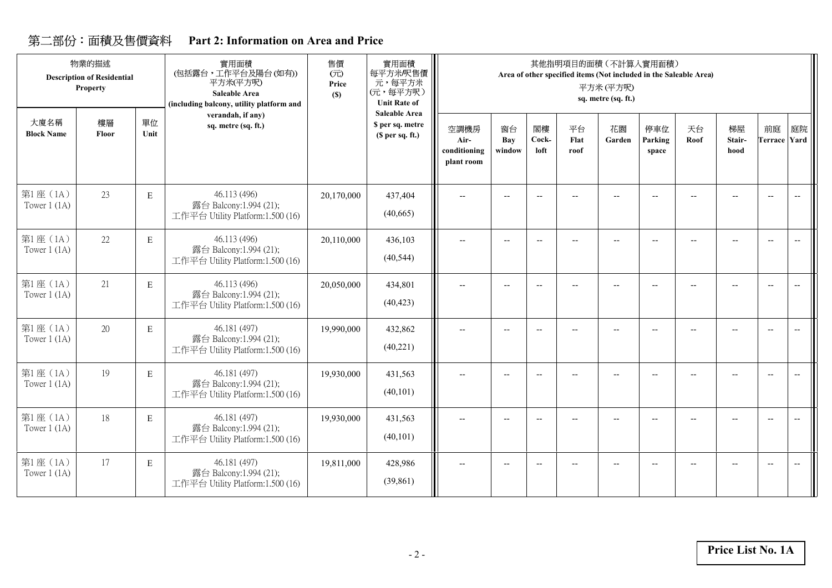## **Part 2: Information on Area and Price**

|                            | 物業的描述<br><b>Description of Residential</b><br>Property |             | 實用面積<br>(包括露台,工作平台及陽台(如有))<br>平方米(平方呎)<br><b>Saleable Area</b><br>(including balcony, utility platform and | 售價<br>(元)<br>Price<br>(S) | 實用面積<br>每平方米/呎售價<br>元,每平方米<br>(元,每平方呎)<br><b>Unit Rate of</b> |                                            |                          |                          | 其他指明項目的面積 (不計算入實用面積)<br>Area of other specified items (Not included in the Saleable Area) | 平方米(平方呎)<br>sq. metre (sq. ft.) |                          |            |                          |                                                     |                                                     |
|----------------------------|--------------------------------------------------------|-------------|------------------------------------------------------------------------------------------------------------|---------------------------|---------------------------------------------------------------|--------------------------------------------|--------------------------|--------------------------|-------------------------------------------------------------------------------------------|---------------------------------|--------------------------|------------|--------------------------|-----------------------------------------------------|-----------------------------------------------------|
| 大廈名稱<br><b>Block Name</b>  | 樓層<br>Floor                                            | 單位<br>Unit  | verandah, if any)<br>sq. metre (sq. ft.)                                                                   |                           | <b>Saleable Area</b><br>\$ per sq. metre<br>(\$ per sq. ft.)  | 空調機房<br>Air-<br>conditioning<br>plant room | 窗台<br>Bay<br>window      | 閣樓<br>Cock-<br>loft      | 平台<br>Flat<br>roof                                                                        | 花園<br>Garden                    | 停車位<br>Parking<br>space  | 天台<br>Roof | 梯屋<br>Stair-<br>hood     | 前庭<br><b>Terrace Yard</b>                           | 庭院                                                  |
| 第1座(1A)<br>Tower $1$ (1A)  | 23                                                     | $\mathbf E$ | 46.113 (496)<br>露台 Balcony:1.994 (21);<br>工作平台 Utility Platform:1.500 (16)                                 | 20,170,000                | 437,404<br>(40,665)                                           | --                                         |                          |                          |                                                                                           |                                 |                          |            |                          | $\overline{\phantom{a}}$                            | $\hspace{0.05cm} -\hspace{0.05cm} -\hspace{0.05cm}$ |
| 第1座(1A)<br>Tower $1$ (1A)  | 22                                                     | $\mathbf E$ | 46.113 (496)<br>露台 Balcony:1.994 (21);<br>工作平台 Utility Platform:1.500 (16)                                 | 20,110,000                | 436,103<br>(40, 544)                                          | $\overline{\phantom{a}}$                   | $\overline{\phantom{a}}$ | $-\!$                    | $\overline{\phantom{a}}$                                                                  | $-$                             | $\overline{\phantom{a}}$ |            | $\overline{\phantom{a}}$ | $\overline{\phantom{a}}$                            | $\overline{\phantom{m}}$                            |
| 第1座(1A)<br>Tower $1$ (1A)  | 21                                                     | $\mathbf E$ | 46.113 (496)<br>露台 Balcony:1.994 (21);<br>工作平台 Utility Platform:1.500 (16)                                 | 20,050,000                | 434,801<br>(40, 423)                                          |                                            |                          |                          |                                                                                           |                                 |                          |            |                          | $\overline{\phantom{a}}$                            | $\overline{\phantom{a}}$                            |
| 第1座(1A)<br>Tower $1(1A)$   | 20                                                     | E           | 46.181 (497)<br>露台 Balcony:1.994 (21);<br>工作平台 Utility Platform:1.500 (16)                                 | 19,990,000                | 432,862<br>(40,221)                                           | $\overline{\phantom{m}}$                   | $\overline{\phantom{a}}$ | $\overline{\phantom{a}}$ | $\overline{a}$                                                                            | $-$                             | $\overline{\phantom{a}}$ |            |                          | $\hspace{0.05cm} -\hspace{0.05cm} -\hspace{0.05cm}$ | $\overline{\phantom{a}}$                            |
| 第1座(1A)<br>Tower $1$ (1A)  | 19                                                     | E           | 46.181 (497)<br>露台 Balcony:1.994 (21);<br>工作平台 Utility Platform:1.500 (16)                                 | 19,930,000                | 431,563<br>(40, 101)                                          | --                                         | $\overline{\phantom{a}}$ | $\overline{\phantom{a}}$ |                                                                                           |                                 |                          |            |                          | $\overline{\phantom{a}}$                            | $\overline{\phantom{a}}$                            |
| 第1座 (1A)<br>Tower $1$ (1A) | 18                                                     | E           | 46.181 (497)<br>露台 Balcony:1.994 (21);<br>工作平台 Utility Platform:1.500 (16)                                 | 19,930,000                | 431,563<br>(40, 101)                                          | --                                         | $\overline{\phantom{a}}$ | $-$                      |                                                                                           |                                 |                          |            |                          | $\overline{\phantom{a}}$                            |                                                     |
| 第1座(1A)<br>Tower $1$ (1A)  | 17                                                     | E           | 46.181 (497)<br>露台 Balcony:1.994 (21);<br>工作平台 Utility Platform:1.500 (16)                                 | 19,811,000                | 428,986<br>(39, 861)                                          | --                                         | $\overline{\phantom{a}}$ |                          |                                                                                           |                                 | Ξ.                       |            |                          | $\overline{\phantom{a}}$                            |                                                     |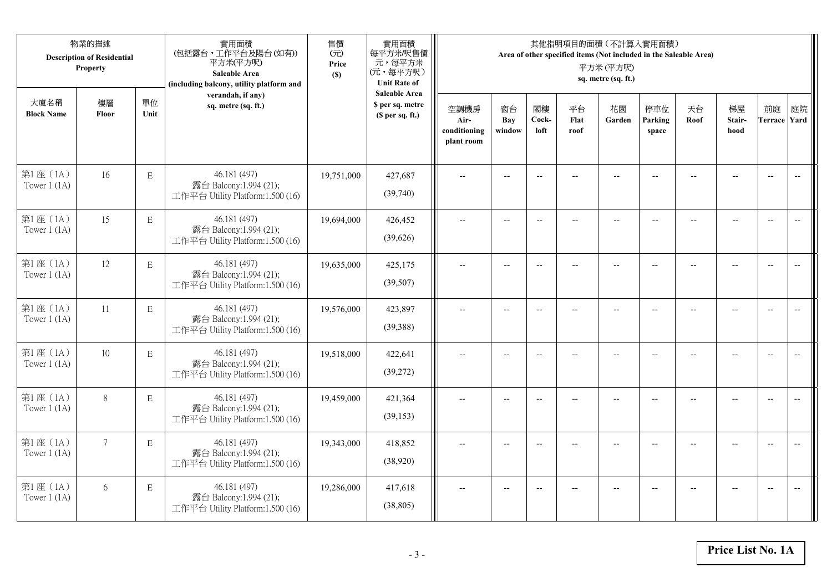|                           | 物業的描述<br><b>Description of Residential</b><br>Property |             | 實用面積<br>(包括露台,工作平台及陽台(如有))<br>平方米(平方呎)<br>Saleable Area<br>(including balcony, utility platform and | 售價<br>(元)<br>Price<br>(S) | 實用面積<br>每平方米/呎售價<br>元,每平方米<br>(元,每平方呎)<br><b>Unit Rate of</b> |                                            |                          |                          |                    | 其他指明項目的面積(不計算入實用面積)<br>Area of other specified items (Not included in the Saleable Area)<br>平方米(平方呎)<br>sq. metre (sq. ft.) |                          |                          |                          |                           |                          |
|---------------------------|--------------------------------------------------------|-------------|-----------------------------------------------------------------------------------------------------|---------------------------|---------------------------------------------------------------|--------------------------------------------|--------------------------|--------------------------|--------------------|-----------------------------------------------------------------------------------------------------------------------------|--------------------------|--------------------------|--------------------------|---------------------------|--------------------------|
| 大廈名稱<br><b>Block Name</b> | 樓層<br>Floor                                            | 單位<br>Unit  | verandah, if any)<br>sq. metre (sq. ft.)                                                            |                           | <b>Saleable Area</b><br>\$ per sq. metre<br>(\$ per sq. ft.)  | 空調機房<br>Air-<br>conditioning<br>plant room | 窗台<br>Bay<br>window      | 閣樓<br>Cock-<br>loft      | 平台<br>Flat<br>roof | 花園<br>Garden                                                                                                                | 停車位<br>Parking<br>space  | 天台<br>Roof               | 梯屋<br>Stair-<br>hood     | 前庭<br><b>Terrace Yard</b> | 庭院                       |
| 第1座(1A)<br>Tower $1$ (1A) | 16                                                     | $\mathbf E$ | 46.181 (497)<br>露台 Balcony:1.994 (21);<br>工作平台 Utility Platform:1.500 (16)                          | 19,751,000                | 427,687<br>(39,740)                                           |                                            |                          | $\overline{\phantom{a}}$ |                    |                                                                                                                             |                          |                          |                          | $\overline{\phantom{a}}$  | $\overline{\phantom{a}}$ |
| 第1座(1A)<br>Tower $1$ (1A) | 15                                                     | E           | 46.181 (497)<br>露台 Balcony:1.994 (21);<br>工作平台 Utility Platform:1.500 (16)                          | 19,694,000                | 426,452<br>(39,626)                                           | $\overline{\phantom{a}}$                   | $\overline{\phantom{a}}$ | $\overline{\phantom{a}}$ | $-$                | $\hspace{0.05cm} \ldots$                                                                                                    | --                       | $\overline{\phantom{a}}$ | $-$                      | $\overline{\phantom{m}}$  | $\overline{\phantom{m}}$ |
| 第1座(1A)<br>Tower $1$ (1A) | 12                                                     | ${\bf E}$   | 46.181 (497)<br>露台 Balcony:1.994 (21);<br>工作平台 Utility Platform:1.500 (16)                          | 19,635,000                | 425,175<br>(39, 507)                                          |                                            | $\overline{\phantom{a}}$ | $\overline{a}$           | $-$                | $\overline{\phantom{a}}$                                                                                                    |                          |                          | $\overline{a}$           | $\overline{\phantom{a}}$  |                          |
| 第1座(1A)<br>Tower $1$ (1A) | 11                                                     | ${\bf E}$   | 46.181 (497)<br>露台 Balcony:1.994 (21);<br>工作平台 Utility Platform:1.500 (16)                          | 19,576,000                | 423,897<br>(39, 388)                                          | $\overline{\phantom{a}}$                   | $-$                      | $\overline{\phantom{a}}$ | $\overline{a}$     | $\overline{a}$                                                                                                              | $\overline{\phantom{a}}$ | $\overline{a}$           | $\overline{\phantom{a}}$ | $\overline{\phantom{a}}$  | $\overline{\phantom{a}}$ |
| 第1座(1A)<br>Tower $1$ (1A) | 10                                                     | $\mathbf E$ | 46.181 (497)<br>露台 Balcony:1.994 (21);<br>工作平台 Utility Platform:1.500 (16)                          | 19,518,000                | 422,641<br>(39,272)                                           | $\overline{\phantom{a}}$                   | $\overline{a}$           | $\overline{\phantom{a}}$ | $\overline{a}$     | $\overline{\phantom{a}}$                                                                                                    | $-$                      |                          | $\overline{a}$           | $\overline{\phantom{m}}$  | $\overline{\phantom{m}}$ |
| 第1座(1A)<br>Tower $1$ (1A) | $8\,$                                                  | E           | 46.181 (497)<br>露台 Balcony:1.994 (21);<br>工作平台 Utility Platform:1.500 (16)                          | 19,459,000                | 421,364<br>(39, 153)                                          | $\overline{\phantom{a}}$                   | $\sim$                   | $\overline{a}$           |                    | $-$                                                                                                                         |                          |                          | $-$                      | $\overline{a}$            |                          |
| 第1座(1A)<br>Tower $1$ (1A) | $\overline{7}$                                         | E           | 46.181 (497)<br>露台 Balcony:1.994 (21);<br>工作平台 Utility Platform:1.500 (16)                          | 19,343,000                | 418,852<br>(38,920)                                           | $\overline{a}$                             | $-$                      | $\overline{\phantom{m}}$ |                    |                                                                                                                             |                          |                          | $-$                      | $\overline{\phantom{a}}$  | $-$                      |
| 第1座(1A)<br>Tower $1$ (1A) | 6                                                      | E           | 46.181 (497)<br>露台 Balcony:1.994 (21);<br>工作平台 Utility Platform:1.500 (16)                          | 19,286,000                | 417,618<br>(38, 805)                                          |                                            |                          | $\overline{a}$           |                    | $\overline{\phantom{a}}$                                                                                                    |                          |                          | $-$                      | $\overline{\phantom{a}}$  | $\overline{\phantom{a}}$ |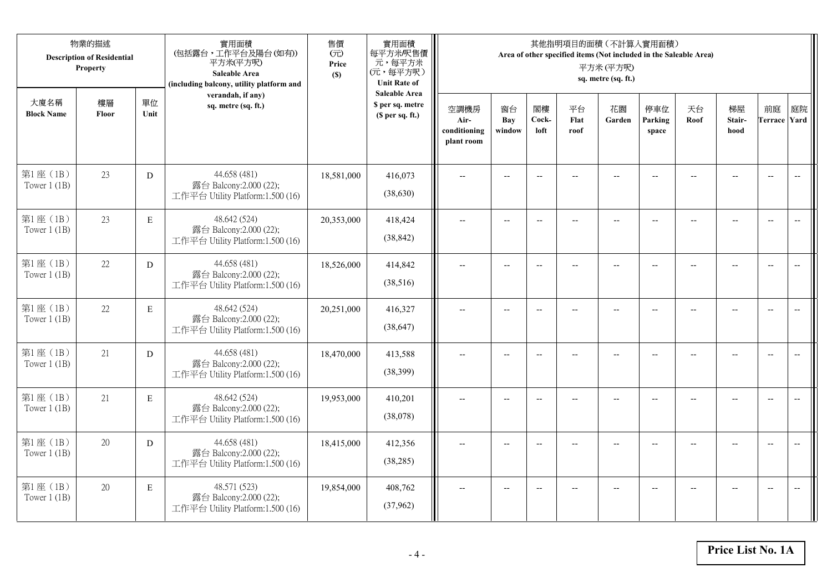|                            | 物業的描述<br><b>Description of Residential</b><br>Property |             | 實用面積<br>(包括露台,工作平台及陽台(如有))<br>平方米(平方呎)<br>Saleable Area<br>(including balcony, utility platform and | 售價<br>(元)<br>Price<br>(S) | 實用面積<br>每平方米/呎售價<br>元,每平方米<br>(元,每平方呎)<br><b>Unit Rate of</b> |                                            |                          |                          |                    | 其他指明項目的面積 (不計算入實用面積)<br>Area of other specified items (Not included in the Saleable Area)<br>平方米(平方呎)<br>sq. metre (sq. ft.) |                          |                |                      |                           |                          |
|----------------------------|--------------------------------------------------------|-------------|-----------------------------------------------------------------------------------------------------|---------------------------|---------------------------------------------------------------|--------------------------------------------|--------------------------|--------------------------|--------------------|------------------------------------------------------------------------------------------------------------------------------|--------------------------|----------------|----------------------|---------------------------|--------------------------|
| 大廈名稱<br><b>Block Name</b>  | 樓層<br>Floor                                            | 單位<br>Unit  | verandah, if any)<br>sq. metre (sq. ft.)                                                            |                           | <b>Saleable Area</b><br>\$ per sq. metre<br>(\$ per sq. ft.)  | 空調機房<br>Air-<br>conditioning<br>plant room | 窗台<br>Bay<br>window      | 閣樓<br>Cock-<br>loft      | 平台<br>Flat<br>roof | 花園<br>Garden                                                                                                                 | 停車位<br>Parking<br>space  | 天台<br>Roof     | 梯屋<br>Stair-<br>hood | 前庭<br><b>Terrace Yard</b> | 庭院                       |
| 第1座 (1B)<br>Tower $1$ (1B) | 23                                                     | D           | 44.658 (481)<br>露台 Balcony:2.000 (22);<br>工作平台 Utility Platform:1.500 (16)                          | 18,581,000                | 416,073<br>(38,630)                                           |                                            |                          | $-$                      |                    |                                                                                                                              |                          |                |                      | $\overline{\phantom{a}}$  | $\overline{\phantom{a}}$ |
| 第1座 (1B)<br>Tower $1$ (1B) | 23                                                     | $\mathbf E$ | 48.642 (524)<br>露台 Balcony:2.000 (22);<br>工作平台 Utility Platform:1.500 (16)                          | 20,353,000                | 418,424<br>(38, 842)                                          | $\overline{a}$                             | $\overline{\phantom{a}}$ | $\overline{\phantom{a}}$ | $-$                | $\overline{\phantom{a}}$                                                                                                     | $-$                      | $-$            | $\overline{a}$       | $\overline{a}$            | $\overline{\phantom{a}}$ |
| 第1座(1B)<br>Tower $1$ (1B)  | 22                                                     | D           | 44.658 (481)<br>露台 Balcony:2.000 (22);<br>工作平台 Utility Platform:1.500 (16)                          | 18,526,000                | 414,842<br>(38,516)                                           |                                            | $\overline{a}$           | $\overline{\phantom{a}}$ | $\overline{a}$     | $\overline{a}$                                                                                                               |                          |                | $\overline{a}$       | $\overline{a}$            |                          |
| 第1座(1B)<br>Tower $1(1B)$   | 22                                                     | $\mathbf E$ | 48.642 (524)<br>露台 Balcony:2.000 (22);<br>工作平台 Utility Platform:1.500 (16)                          | 20,251,000                | 416,327<br>(38, 647)                                          | $\overline{a}$                             | $-$                      | $-$                      | $\overline{a}$     | $\overline{\phantom{a}}$                                                                                                     | $\overline{\phantom{a}}$ |                | $\overline{a}$       | $\overline{a}$            | $\overline{\phantom{m}}$ |
| 第1座(1B)<br>Tower $1$ (1B)  | 21                                                     | D           | 44.658 (481)<br>露台 Balcony:2.000 (22);<br>工作平台 Utility Platform:1.500 (16)                          | 18,470,000                | 413,588<br>(38, 399)                                          | $\overline{a}$                             | $\overline{\phantom{a}}$ | $\overline{\phantom{a}}$ | $\qquad \qquad -$  | $\overline{\phantom{m}}$                                                                                                     | $-$                      | $\overline{a}$ | $-$                  | $\overline{\phantom{m}}$  | $\overline{\phantom{m}}$ |
| 第1座 (1B)<br>Tower $1$ (1B) | 21                                                     | E           | 48.642 (524)<br>露台 Balcony:2.000 (22);<br>工作平台 Utility Platform:1.500 (16)                          | 19,953,000                | 410,201<br>(38,078)                                           |                                            | $-$                      | $-$                      |                    |                                                                                                                              |                          |                | $-$                  | $\overline{a}$            | $-$                      |
| 第1座(1B)<br>Tower $1$ (1B)  | 20                                                     | D           | 44.658 (481)<br>露台 Balcony:2.000 (22);<br>工作平台 Utility Platform:1.500 (16)                          | 18,415,000                | 412,356<br>(38, 285)                                          | $\sim$                                     | $-$                      | $\overline{\phantom{a}}$ |                    | $\sim$                                                                                                                       |                          |                | $\overline{a}$       | $-$                       | $\overline{a}$           |
| 第1座 (1B)<br>Tower $1$ (1B) | 20                                                     | E           | 48.571 (523)<br>露台 Balcony:2.000 (22);<br>工作平台 Utility Platform:1.500 (16)                          | 19,854,000                | 408,762<br>(37,962)                                           |                                            | $-$                      |                          |                    | --                                                                                                                           |                          |                |                      | $\overline{\phantom{a}}$  | $-$                      |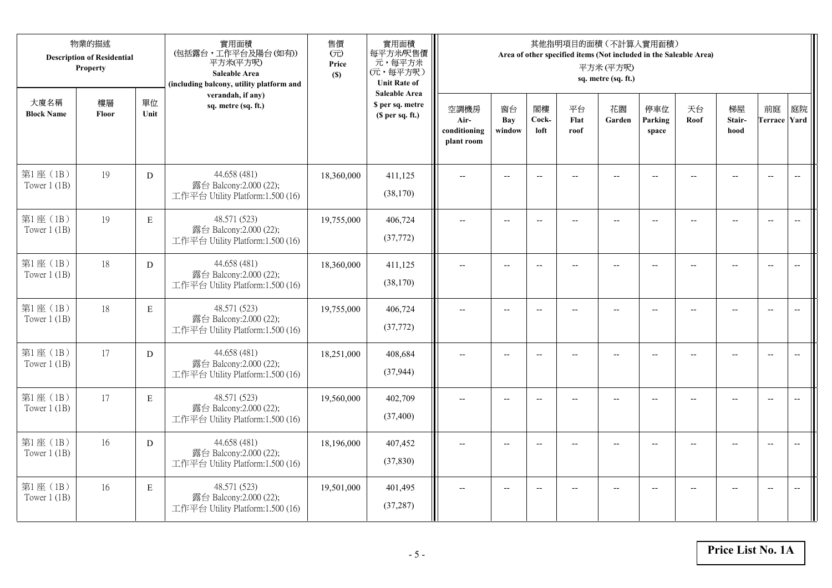|                            | 物業的描述<br><b>Description of Residential</b><br>Property |             | 實用面積<br>(包括露台,工作平台及陽台(如有))<br>平方米(平方呎)<br>Saleable Area<br>(including balcony, utility platform and | 售價<br>(元)<br>Price<br>(S) | 實用面積<br>每平方米/呎售價<br>元,每平方米<br>(元,每平方呎)<br><b>Unit Rate of</b>          |                                            |                          |                          |                          | 其他指明項目的面積 (不計算入實用面積)<br>Area of other specified items (Not included in the Saleable Area)<br>平方米(平方呎)<br>sq. metre (sq. ft.) |                          |                |                          |                           |                          |
|----------------------------|--------------------------------------------------------|-------------|-----------------------------------------------------------------------------------------------------|---------------------------|------------------------------------------------------------------------|--------------------------------------------|--------------------------|--------------------------|--------------------------|------------------------------------------------------------------------------------------------------------------------------|--------------------------|----------------|--------------------------|---------------------------|--------------------------|
| 大廈名稱<br><b>Block Name</b>  | 樓層<br>Floor                                            | 單位<br>Unit  | verandah, if any)<br>sq. metre (sq. ft.)                                                            |                           | <b>Saleable Area</b><br>\$ per sq. metre<br>(S <sub>per</sub> sq. ft.) | 空調機房<br>Air-<br>conditioning<br>plant room | 窗台<br>Bay<br>window      | 閣樓<br>Cock-<br>loft      | 平台<br>Flat<br>roof       | 花園<br>Garden                                                                                                                 | 停車位<br>Parking<br>space  | 天台<br>Roof     | 梯屋<br>Stair-<br>hood     | 前庭<br><b>Terrace Yard</b> | 庭院                       |
| 第1座(1B)<br>Tower $1$ (1B)  | 19                                                     | D           | 44.658 (481)<br>露台 Balcony:2.000 (22);<br>工作平台 Utility Platform:1.500 (16)                          | 18,360,000                | 411,125<br>(38,170)                                                    |                                            |                          | $\overline{a}$           |                          |                                                                                                                              |                          |                |                          | $\overline{a}$            | $\overline{\phantom{a}}$ |
| 第1座 (1B)<br>Tower $1$ (1B) | 19                                                     | $\mathbf E$ | 48.571 (523)<br>露台 Balcony:2.000 (22);<br>工作平台 Utility Platform:1.500 (16)                          | 19,755,000                | 406,724<br>(37, 772)                                                   | $\overline{\phantom{a}}$                   | $\overline{\phantom{a}}$ | $\overline{a}$           | $\overline{a}$           | $\overline{a}$                                                                                                               | $-$                      |                | $\overline{a}$           | $-$                       |                          |
| 第1座 (1B)<br>Tower $1$ (1B) | 18                                                     | D           | 44.658 (481)<br>露台 Balcony:2.000 (22);<br>工作平台 Utility Platform:1.500 (16)                          | 18,360,000                | 411,125<br>(38,170)                                                    |                                            | $\overline{\phantom{a}}$ | $-$                      | $-$                      | $-$                                                                                                                          |                          |                | $\overline{\phantom{a}}$ | $\overline{\phantom{a}}$  |                          |
| 第1座 (1B)<br>Tower $1$ (1B) | 18                                                     | $\mathbf E$ | 48.571 (523)<br>露台 Balcony:2.000 (22);<br>工作平台 Utility Platform:1.500 (16)                          | 19,755,000                | 406,724<br>(37,772)                                                    | $-$                                        | $-$                      | $\overline{\phantom{a}}$ | $\overline{\phantom{a}}$ | $-$                                                                                                                          | $\overline{\phantom{a}}$ | $\overline{a}$ | --                       | $-$                       | $\overline{\phantom{m}}$ |
| 第1座(1B)<br>Tower $1$ (1B)  | 17                                                     | D           | 44.658 (481)<br>露台 Balcony:2.000 (22);<br>工作平台 Utility Platform:1.500 (16)                          | 18,251,000                | 408,684<br>(37, 944)                                                   | $\sim$                                     | $\overline{a}$           | $\overline{a}$           | $\sim$                   | $-$                                                                                                                          | $\overline{a}$           |                | $\overline{a}$           | $\overline{\phantom{a}}$  | $\overline{\phantom{a}}$ |
| 第1座(1B)<br>Tower $1$ (1B)  | 17                                                     | $\,$ E      | 48.571 (523)<br>露台 Balcony:2.000 (22);<br>工作平台 Utility Platform:1.500 (16)                          | 19,560,000                | 402,709<br>(37, 400)                                                   | $\overline{\phantom{a}}$                   | $\overline{a}$           | $\overline{\phantom{a}}$ |                          | $-$                                                                                                                          | $-$                      | $-$            | $\overline{a}$           | $\overline{\phantom{a}}$  | $\sim$                   |
| 第1座 (1B)<br>Tower $1(1B)$  | 16                                                     | D           | 44.658 (481)<br>露台 Balcony:2.000 (22);<br>工作平台 Utility Platform:1.500 (16)                          | 18,196,000                | 407,452<br>(37, 830)                                                   |                                            |                          |                          |                          |                                                                                                                              |                          |                |                          | $\overline{\phantom{a}}$  | $\overline{\phantom{a}}$ |
| 第1座 (1B)<br>Tower $1$ (1B) | 16                                                     | $\mathbf E$ | 48.571 (523)<br>露台 Balcony:2.000 (22);<br>工作平台 Utility Platform:1.500 (16)                          | 19,501,000                | 401,495<br>(37, 287)                                                   | $\overline{\phantom{a}}$                   | $-$                      | $-$                      |                          | $\overline{a}$                                                                                                               | $-$                      |                | $-$                      | $-$                       | $\overline{\phantom{a}}$ |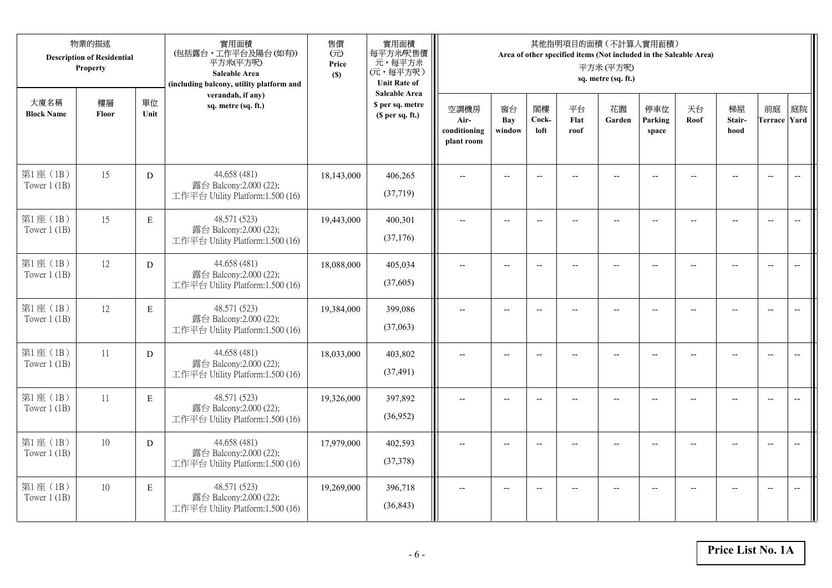|                            | 物業的描述<br><b>Description of Residential</b><br>Property |             | 實用面積<br>(包括露台,工作平台及陽台(如有))<br>平方米(平方呎)<br>Saleable Area<br>(including balcony, utility platform and | 售價<br>(元)<br>Price<br>(S) | 實用面積<br>每平方米/呎售價<br>元,每平方米<br>(元,每平方呎)<br><b>Unit Rate of</b>          |                                            |                          |                          |                          | 其他指明項目的面積 (不計算入實用面積)<br>Area of other specified items (Not included in the Saleable Area)<br>平方米(平方呎)<br>sq. metre (sq. ft.) |                          |                |                          |                           |                          |
|----------------------------|--------------------------------------------------------|-------------|-----------------------------------------------------------------------------------------------------|---------------------------|------------------------------------------------------------------------|--------------------------------------------|--------------------------|--------------------------|--------------------------|------------------------------------------------------------------------------------------------------------------------------|--------------------------|----------------|--------------------------|---------------------------|--------------------------|
| 大廈名稱<br><b>Block Name</b>  | 樓層<br>Floor                                            | 單位<br>Unit  | verandah, if any)<br>sq. metre (sq. ft.)                                                            |                           | <b>Saleable Area</b><br>\$ per sq. metre<br>(S <sub>per</sub> sq. ft.) | 空調機房<br>Air-<br>conditioning<br>plant room | 窗台<br>Bay<br>window      | 閣樓<br>Cock-<br>loft      | 平台<br>Flat<br>roof       | 花園<br>Garden                                                                                                                 | 停車位<br>Parking<br>space  | 天台<br>Roof     | 梯屋<br>Stair-<br>hood     | 前庭<br><b>Terrace Yard</b> | 庭院                       |
| 第1座(1B)<br>Tower $1$ (1B)  | 15                                                     | D           | 44.658 (481)<br>露台 Balcony:2.000 (22);<br>工作平台 Utility Platform:1.500 (16)                          | 18,143,000                | 406,265<br>(37,719)                                                    |                                            |                          | $\overline{a}$           |                          |                                                                                                                              |                          |                |                          | $\overline{a}$            | $\overline{\phantom{a}}$ |
| 第1座(1B)<br>Tower $1$ (1B)  | 15                                                     | E           | 48.571 (523)<br>露台 Balcony:2.000 (22);<br>工作平台 Utility Platform:1.500 (16)                          | 19,443,000                | 400,301<br>(37,176)                                                    | $\overline{\phantom{a}}$                   | $\overline{\phantom{a}}$ | $\overline{a}$           |                          | $\overline{a}$                                                                                                               | $-$                      |                | $\overline{a}$           | $-$                       |                          |
| 第1座(1B)<br>Tower $1$ (1B)  | 12                                                     | D           | 44.658 (481)<br>露台 Balcony:2.000 (22);<br>工作平台 Utility Platform:1.500 (16)                          | 18,088,000                | 405,034<br>(37,605)                                                    |                                            | $\overline{\phantom{a}}$ | $-$                      | $-$                      | $-$                                                                                                                          |                          |                | $\overline{\phantom{a}}$ | $\overline{\phantom{a}}$  |                          |
| 第1座(1B)<br>Tower $1$ (1B)  | 12                                                     | $\mathbf E$ | 48.571 (523)<br>露台 Balcony:2.000 (22);<br>工作平台 Utility Platform:1.500 (16)                          | 19,384,000                | 399,086<br>(37,063)                                                    | $-$                                        | $\overline{\phantom{m}}$ | $\overline{\phantom{a}}$ | $\overline{\phantom{a}}$ | $-$                                                                                                                          | $\overline{\phantom{a}}$ | $\overline{a}$ | --                       | $-$                       | $\overline{\phantom{m}}$ |
| 第1座 (1B)<br>Tower $1$ (1B) | 11                                                     | D           | 44.658 (481)<br>露台 Balcony:2.000 (22);<br>工作平台 Utility Platform:1.500 (16)                          | 18,033,000                | 403,802<br>(37, 491)                                                   | $\sim$                                     | $\overline{a}$           | $\overline{a}$           | $\overline{a}$           | $-$                                                                                                                          | $\overline{a}$           |                | $\overline{a}$           | $\overline{\phantom{a}}$  | $\overline{\phantom{a}}$ |
| 第1座(1B)<br>Tower $1$ (1B)  | 11                                                     | $\,$ E      | 48.571 (523)<br>露台 Balcony:2.000 (22);<br>工作平台 Utility Platform:1.500 (16)                          | 19,326,000                | 397,892<br>(36,952)                                                    | $\overline{\phantom{a}}$                   | $\overline{a}$           | $-$                      |                          | $-$                                                                                                                          | $-$                      | $-$            | $-$                      | $\overline{\phantom{a}}$  | $\sim$                   |
| 第1座 (1B)<br>Tower $1(1B)$  | 10                                                     | D           | 44.658 (481)<br>露台 Balcony:2.000 (22);<br>工作平台 Utility Platform:1.500 (16)                          | 17,979,000                | 402,593<br>(37,378)                                                    |                                            |                          |                          |                          |                                                                                                                              |                          |                |                          | $\overline{\phantom{a}}$  | $\overline{\phantom{a}}$ |
| 第1座 (1B)<br>Tower $1$ (1B) | 10                                                     | $\mathbf E$ | 48.571 (523)<br>露台 Balcony:2.000 (22);<br>工作平台 Utility Platform:1.500 (16)                          | 19,269,000                | 396,718<br>(36, 843)                                                   | $\overline{\phantom{a}}$                   | $-$                      | $-$                      |                          | $\overline{a}$                                                                                                               | $-$                      |                | $-$                      | $-$                       | $\overline{\phantom{a}}$ |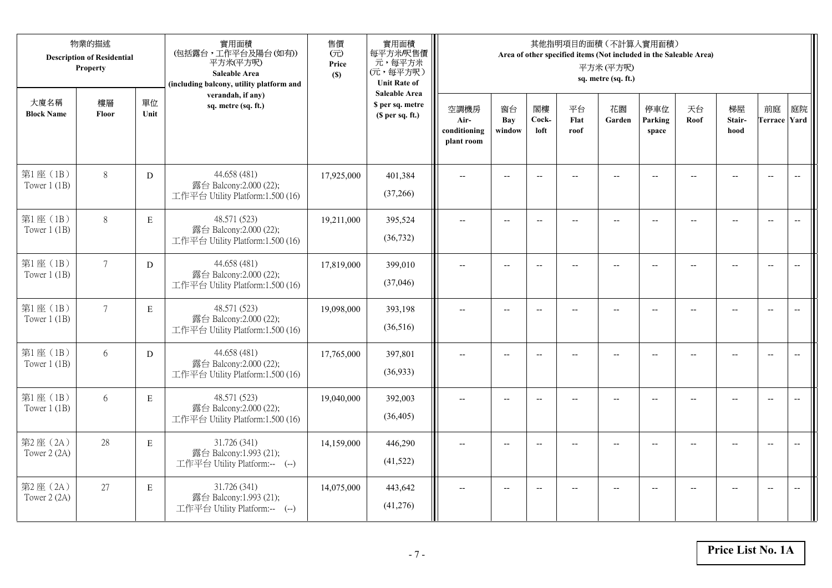|                            | 物業的描述<br><b>Description of Residential</b><br>Property |             | 實用面積<br>(包括露台,工作平台及陽台(如有))<br>平方米(平方呎)<br>Saleable Area<br>(including balcony, utility platform and | 售價<br>(元)<br>Price<br>(S) | 實用面積<br>每平方米/呎售價<br>元,每平方米<br>(元,每平方呎)<br><b>Unit Rate of</b>          |                                            |                          |                          |                          | 其他指明項目的面積 (不計算入實用面積)<br>Area of other specified items (Not included in the Saleable Area)<br>平方米(平方呎)<br>sq. metre (sq. ft.) |                          |                |                      |                           |                          |
|----------------------------|--------------------------------------------------------|-------------|-----------------------------------------------------------------------------------------------------|---------------------------|------------------------------------------------------------------------|--------------------------------------------|--------------------------|--------------------------|--------------------------|------------------------------------------------------------------------------------------------------------------------------|--------------------------|----------------|----------------------|---------------------------|--------------------------|
| 大廈名稱<br><b>Block Name</b>  | 樓層<br>Floor                                            | 單位<br>Unit  | verandah, if any)<br>sq. metre (sq. ft.)                                                            |                           | <b>Saleable Area</b><br>\$ per sq. metre<br>(S <sub>per</sub> sq. ft.) | 空調機房<br>Air-<br>conditioning<br>plant room | 窗台<br>Bay<br>window      | 閣樓<br>Cock-<br>loft      | 平台<br>Flat<br>roof       | 花園<br>Garden                                                                                                                 | 停車位<br>Parking<br>space  | 天台<br>Roof     | 梯屋<br>Stair-<br>hood | 前庭<br><b>Terrace Yard</b> | 庭院                       |
| 第1座(1B)<br>Tower $1$ (1B)  | $8\,$                                                  | D           | 44.658 (481)<br>露台 Balcony:2.000 (22);<br>工作平台 Utility Platform:1.500 (16)                          | 17,925,000                | 401,384<br>(37,266)                                                    |                                            |                          | $\overline{\phantom{a}}$ |                          |                                                                                                                              |                          |                |                      | $\overline{a}$            | $\overline{\phantom{a}}$ |
| 第1座(1B)<br>Tower $1$ (1B)  | $8\,$                                                  | E           | 48.571 (523)<br>露台 Balcony:2.000 (22);<br>工作平台 Utility Platform:1.500 (16)                          | 19,211,000                | 395,524<br>(36, 732)                                                   | $\overline{\phantom{a}}$                   | $\overline{\phantom{a}}$ | $\overline{\phantom{a}}$ |                          | $\overline{\phantom{a}}$                                                                                                     | $-$                      |                | $\overline{a}$       | $-$                       |                          |
| 第1座(1B)<br>Tower $1$ (1B)  | $7\overline{ }$                                        | D           | 44.658 (481)<br>露台 Balcony:2.000 (22);<br>工作平台 Utility Platform:1.500 (16)                          | 17,819,000                | 399,010<br>(37,046)                                                    |                                            | $\overline{\phantom{a}}$ | $-$                      | $-$                      | $-$                                                                                                                          |                          |                | $\overline{a}$       | $\overline{\phantom{a}}$  |                          |
| 第1座(1B)<br>Tower $1$ (1B)  | $7\overline{ }$                                        | $\mathbf E$ | 48.571 (523)<br>露台 Balcony:2.000 (22);<br>工作平台 Utility Platform:1.500 (16)                          | 19,098,000                | 393,198<br>(36,516)                                                    | $-$                                        | $-$                      | $\overline{\phantom{a}}$ | $\overline{\phantom{a}}$ | $-$                                                                                                                          | $\overline{\phantom{a}}$ | $\overline{a}$ | --                   | $-$                       | $\overline{\phantom{m}}$ |
| 第1座 (1B)<br>Tower $1$ (1B) | 6                                                      | D           | 44.658 (481)<br>露台 Balcony:2.000 (22);<br>工作平台 Utility Platform:1.500 (16)                          | 17,765,000                | 397,801<br>(36,933)                                                    | $\sim$                                     | $\overline{a}$           | $\overline{a}$           | $\overline{a}$           | $\overline{\phantom{a}}$                                                                                                     | $\overline{a}$           |                | $\overline{a}$       | $\overline{\phantom{a}}$  | $\overline{\phantom{a}}$ |
| 第1座 (1B)<br>Tower $1$ (1B) | 6                                                      | E           | 48.571 (523)<br>露台 Balcony:2.000 (22);<br>工作平台 Utility Platform:1.500 (16)                          | 19,040,000                | 392,003<br>(36, 405)                                                   | $\overline{\phantom{a}}$                   | $\overline{a}$           | $\overline{\phantom{a}}$ |                          | $\sim$                                                                                                                       | $-$                      | $-$            | $\overline{a}$       | $\overline{\phantom{a}}$  | $\sim$                   |
| 第2座 (2A)<br>Tower 2 (2A)   | 28                                                     | E           | 31.726 (341)<br>露台 Balcony:1.993 (21);<br>工作平台 Utility Platform:-- (--)                             | 14,159,000                | 446,290<br>(41,522)                                                    |                                            |                          |                          |                          |                                                                                                                              |                          |                |                      | $\overline{\phantom{a}}$  | $\overline{\phantom{a}}$ |
| 第2座(2A)<br>Tower 2 (2A)    | 27                                                     | $\mathbf E$ | 31.726 (341)<br>露台 Balcony:1.993 (21);<br>工作平台 Utility Platform:-- (--)                             | 14,075,000                | 443,642<br>(41,276)                                                    | $\overline{\phantom{a}}$                   | $-$                      | $\overline{\phantom{a}}$ |                          | $\overline{a}$                                                                                                               | $-$                      |                | $-$                  | $-$                       | $\overline{\phantom{a}}$ |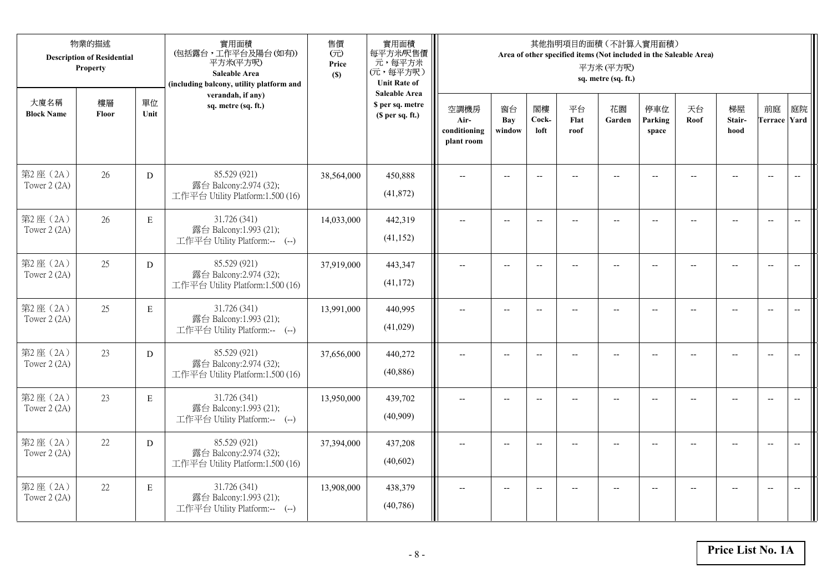|                           | 物業的描述<br><b>Description of Residential</b><br>Property |             | 實用面積<br>(包括露台,工作平台及陽台(如有))<br>平方米(平方呎)<br>Saleable Area<br>(including balcony, utility platform and | 售價<br>(元)<br>Price<br>(S) | 實用面積<br>每平方米/呎售價<br>元,每平方米<br>(元,每平方呎)<br><b>Unit Rate of</b>          |                                            |                          |                          |                          | 其他指明項目的面積 (不計算入實用面積)<br>Area of other specified items (Not included in the Saleable Area)<br>平方米(平方呎)<br>sq. metre (sq. ft.) |                          |                          |                                                     |                           |                          |
|---------------------------|--------------------------------------------------------|-------------|-----------------------------------------------------------------------------------------------------|---------------------------|------------------------------------------------------------------------|--------------------------------------------|--------------------------|--------------------------|--------------------------|------------------------------------------------------------------------------------------------------------------------------|--------------------------|--------------------------|-----------------------------------------------------|---------------------------|--------------------------|
| 大廈名稱<br><b>Block Name</b> | 樓層<br>Floor                                            | 單位<br>Unit  | verandah, if any)<br>sq. metre (sq. ft.)                                                            |                           | <b>Saleable Area</b><br>\$ per sq. metre<br>(S <sub>per</sub> sq. ft.) | 空調機房<br>Air-<br>conditioning<br>plant room | 窗台<br>Bay<br>window      | 閣樓<br>Cock-<br>loft      | 平台<br>Flat<br>roof       | 花園<br>Garden                                                                                                                 | 停車位<br>Parking<br>space  | 天台<br>Roof               | 梯屋<br>Stair-<br>hood                                | 前庭<br><b>Terrace Yard</b> | 庭院                       |
| 第2座(2A)<br>Tower 2 (2A)   | 26                                                     | ${\rm D}$   | 85.529 (921)<br>露台 Balcony:2.974 (32);<br>工作平台 Utility Platform:1.500 (16)                          | 38,564,000                | 450,888<br>(41,872)                                                    |                                            | $\overline{a}$           | $\overline{\phantom{a}}$ |                          |                                                                                                                              |                          |                          |                                                     | $\overline{a}$            | $\overline{\phantom{a}}$ |
| 第2座(2A)<br>Tower 2 (2A)   | 26                                                     | $\mathbf E$ | 31.726 (341)<br>露台 Balcony:1.993 (21);<br>工作平台 Utility Platform:-- (--)                             | 14,033,000                | 442,319<br>(41, 152)                                                   | $\overline{\phantom{a}}$                   | $\overline{\phantom{a}}$ | $\overline{\phantom{a}}$ | $\overline{a}$           | $\overline{\phantom{a}}$                                                                                                     | $-$                      | $\overline{\phantom{a}}$ | $\overline{a}$                                      | $-$                       |                          |
| 第2座(2A)<br>Tower 2 (2A)   | 25                                                     | D           | 85.529 (921)<br>露台 Balcony:2.974 (32);<br>工作平台 Utility Platform:1.500 (16)                          | 37,919,000                | 443,347<br>(41, 172)                                                   |                                            | $\overline{\phantom{a}}$ | $\overline{\phantom{a}}$ | $-$                      | $-$                                                                                                                          |                          |                          | $\overline{a}$                                      | $\overline{\phantom{a}}$  |                          |
| 第2座(2A)<br>Tower 2 (2A)   | 25                                                     | $\mathbf E$ | 31.726 (341)<br>露台 Balcony:1.993 (21);<br>工作平台 Utility Platform:-- (--)                             | 13,991,000                | 440,995<br>(41,029)                                                    | $-$                                        | $\overline{\phantom{m}}$ | $\overline{\phantom{a}}$ | $\overline{\phantom{a}}$ | $-$                                                                                                                          | $\overline{\phantom{a}}$ | $\overline{a}$           | $\hspace{0.05cm} -\hspace{0.05cm} -\hspace{0.05cm}$ | $-$                       | $\overline{\phantom{m}}$ |
| 第2座(2A)<br>Tower 2 (2A)   | 23                                                     | ${\rm D}$   | 85.529 (921)<br>露台 Balcony:2.974 (32);<br>工作平台 Utility Platform:1.500 (16)                          | 37,656,000                | 440,272<br>(40, 886)                                                   | $\sim$                                     | $\overline{a}$           | $\overline{a}$           | $\overline{a}$           | $\overline{\phantom{a}}$                                                                                                     | $\overline{a}$           |                          | $\overline{a}$                                      | $\overline{\phantom{a}}$  | $\overline{\phantom{a}}$ |
| 第2座(2A)<br>Tower 2 (2A)   | 23                                                     | E           | 31.726 (341)<br>露台 Balcony:1.993 (21);<br>工作平台 Utility Platform:-- (--)                             | 13,950,000                | 439,702<br>(40,909)                                                    | $\overline{\phantom{a}}$                   | $\overline{a}$           | $\overline{\phantom{a}}$ |                          | $\overline{a}$                                                                                                               | $\sim$                   | $-$                      | $\overline{a}$                                      | $\overline{\phantom{a}}$  | $\sim$                   |
| 第2座 (2A)<br>Tower 2 (2A)  | 22                                                     | D           | 85.529 (921)<br>露台 Balcony:2.974 (32);<br>工作平台 Utility Platform:1.500 (16)                          | 37,394,000                | 437,208<br>(40,602)                                                    |                                            |                          | $\overline{\phantom{a}}$ |                          |                                                                                                                              |                          |                          |                                                     | $\overline{\phantom{a}}$  | $\overline{\phantom{a}}$ |
| 第2座(2A)<br>Tower 2 (2A)   | 22                                                     | $\mathbf E$ | 31.726 (341)<br>露台 Balcony:1.993 (21);<br>工作平台 Utility Platform:-- (--)                             | 13,908,000                | 438,379<br>(40, 786)                                                   | $\overline{\phantom{a}}$                   | $-$                      | $\overline{\phantom{a}}$ | $\overline{a}$           | $\overline{\phantom{a}}$                                                                                                     | $-$                      |                          | $-$                                                 | $-$                       | $\overline{\phantom{a}}$ |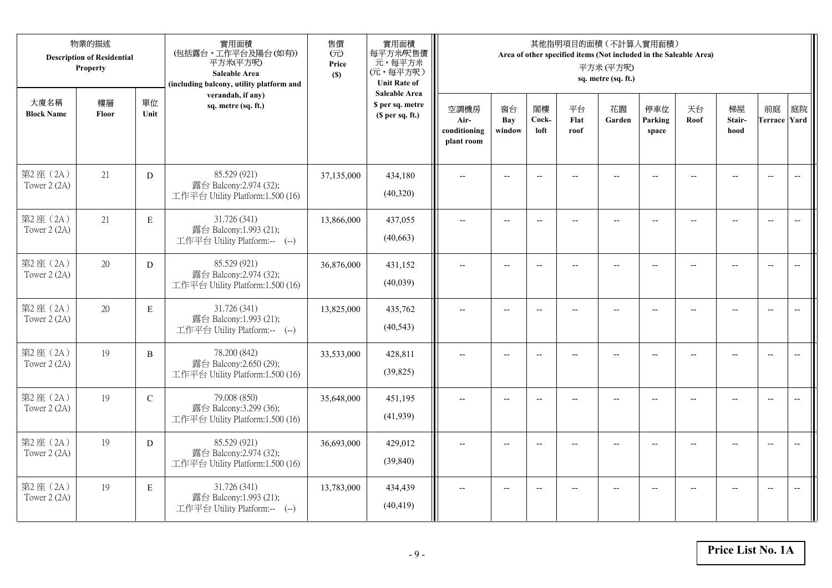|                           | 物業的描述<br><b>Description of Residential</b><br>Property |               | 實用面積<br>(包括露台,工作平台及陽台(如有))<br>平方米(平方呎)<br>Saleable Area<br>(including balcony, utility platform and | 售價<br>(元)<br>Price<br>(S) | 實用面積<br>每平方米/呎售價<br>元,每平方米<br>(元,每平方呎)<br><b>Unit Rate of</b>          |                                            |                          |                          |                          | 其他指明項目的面積 (不計算入實用面積)<br>Area of other specified items (Not included in the Saleable Area)<br>平方米(平方呎)<br>sq. metre (sq. ft.) |                          |                |                                                     |                           |                          |
|---------------------------|--------------------------------------------------------|---------------|-----------------------------------------------------------------------------------------------------|---------------------------|------------------------------------------------------------------------|--------------------------------------------|--------------------------|--------------------------|--------------------------|------------------------------------------------------------------------------------------------------------------------------|--------------------------|----------------|-----------------------------------------------------|---------------------------|--------------------------|
| 大廈名稱<br><b>Block Name</b> | 樓層<br>Floor                                            | 單位<br>Unit    | verandah, if any)<br>sq. metre (sq. ft.)                                                            |                           | <b>Saleable Area</b><br>\$ per sq. metre<br>(S <sub>per</sub> sq. ft.) | 空調機房<br>Air-<br>conditioning<br>plant room | 窗台<br>Bay<br>window      | 閣樓<br>Cock-<br>loft      | 平台<br>Flat<br>roof       | 花園<br>Garden                                                                                                                 | 停車位<br>Parking<br>space  | 天台<br>Roof     | 梯屋<br>Stair-<br>hood                                | 前庭<br><b>Terrace Yard</b> | 庭院                       |
| 第2座(2A)<br>Tower 2 (2A)   | 21                                                     | ${\rm D}$     | 85.529 (921)<br>露台 Balcony:2.974 (32);<br>工作平台 Utility Platform:1.500 (16)                          | 37,135,000                | 434,180<br>(40,320)                                                    |                                            | $\overline{a}$           | $\overline{\phantom{a}}$ |                          |                                                                                                                              |                          |                |                                                     | $\overline{a}$            | $\overline{\phantom{a}}$ |
| 第2座(2A)<br>Tower 2 (2A)   | 21                                                     | $\mathbf E$   | 31.726 (341)<br>露台 Balcony:1.993 (21);<br>工作平台 Utility Platform:-- (--)                             | 13,866,000                | 437,055<br>(40, 663)                                                   | $\overline{\phantom{a}}$                   | $\overline{\phantom{a}}$ | $\overline{\phantom{a}}$ | $\overline{a}$           | $\overline{\phantom{a}}$                                                                                                     | $-$                      |                | $\overline{a}$                                      | $-$                       |                          |
| 第2座(2A)<br>Tower 2 (2A)   | 20                                                     | D             | 85.529 (921)<br>露台 Balcony:2.974 (32);<br>工作平台 Utility Platform:1.500 (16)                          | 36,876,000                | 431,152<br>(40,039)                                                    |                                            | $\overline{\phantom{a}}$ | $\overline{\phantom{a}}$ | $-$                      | $-$                                                                                                                          |                          |                | $\overline{\phantom{a}}$                            | $\overline{\phantom{a}}$  |                          |
| 第2座(2A)<br>Tower 2 (2A)   | 20                                                     | $\mathbf E$   | 31.726 (341)<br>露台 Balcony:1.993 (21);<br>工作平台 Utility Platform:-- (--)                             | 13,825,000                | 435,762<br>(40, 543)                                                   | $-$                                        | $\overline{\phantom{m}}$ | $\overline{\phantom{a}}$ | $\overline{\phantom{a}}$ | $-$                                                                                                                          | $\overline{\phantom{a}}$ | $\overline{a}$ | $\hspace{0.05cm} -\hspace{0.05cm} -\hspace{0.05cm}$ | $-$                       | $\overline{\phantom{m}}$ |
| 第2座(2A)<br>Tower 2 (2A)   | 19                                                     | $\, {\bf B}$  | 78.200 (842)<br>露台 Balcony:2.650 (29);<br>工作平台 Utility Platform:1.500 (16)                          | 33,533,000                | 428,811<br>(39, 825)                                                   | $\sim$                                     | $\overline{a}$           | $\overline{a}$           | $\overline{a}$           | $\overline{\phantom{a}}$                                                                                                     | $\overline{a}$           |                | $\overline{a}$                                      | $\overline{\phantom{a}}$  | $\overline{\phantom{a}}$ |
| 第2座(2A)<br>Tower 2 (2A)   | 19                                                     | $\mathcal{C}$ | 79.008 (850)<br>露台 Balcony:3.299 (36);<br>工作平台 Utility Platform:1.500 (16)                          | 35,648,000                | 451,195<br>(41,939)                                                    | $\overline{\phantom{a}}$                   | $\overline{a}$           | $\overline{\phantom{a}}$ |                          | $\overline{a}$                                                                                                               | $\sim$                   | $-$            | $\overline{a}$                                      | $\overline{\phantom{a}}$  | $\sim$                   |
| 第2座 (2A)<br>Tower 2 (2A)  | 19                                                     | D             | 85.529 (921)<br>露台 Balcony:2.974 (32);<br>工作平台 Utility Platform:1.500 (16)                          | 36,693,000                | 429,012<br>(39, 840)                                                   |                                            |                          | $\overline{\phantom{a}}$ |                          |                                                                                                                              |                          |                |                                                     | $\overline{\phantom{a}}$  | $\overline{a}$           |
| 第2座(2A)<br>Tower 2 (2A)   | 19                                                     | $\mathbf E$   | 31.726 (341)<br>露台 Balcony:1.993 (21);<br>工作平台 Utility Platform:-- (--)                             | 13,783,000                | 434,439<br>(40, 419)                                                   | $\overline{\phantom{a}}$                   | $-$                      | $\overline{\phantom{a}}$ | $\overline{a}$           | $\overline{a}$                                                                                                               | $-$                      |                | $-$                                                 | $-$                       | $\overline{\phantom{a}}$ |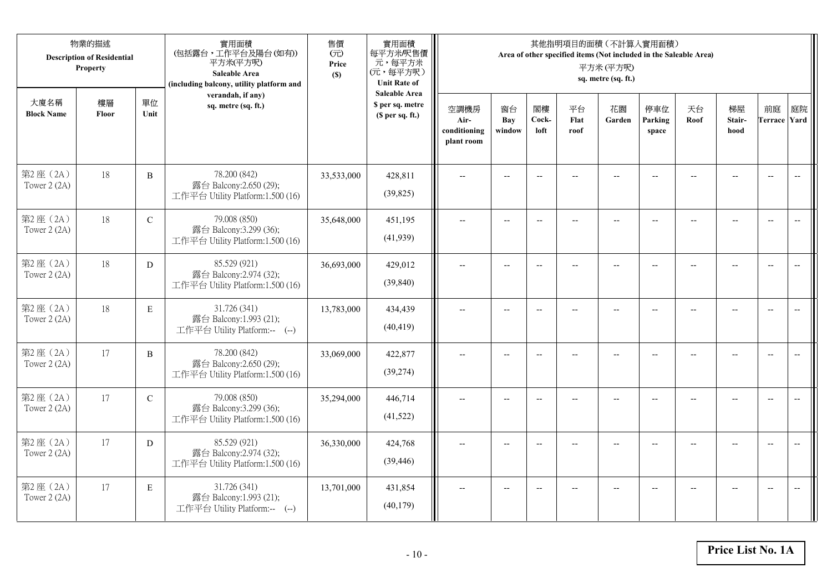|                           | 物業的描述<br><b>Description of Residential</b><br>Property |               | 實用面積<br>(包括露台,工作平台及陽台(如有))<br>平方米(平方呎)<br>Saleable Area<br>(including balcony, utility platform and | 售價<br>(元)<br>Price<br>(S) | 實用面積<br>每平方米/呎售價<br>元,每平方米<br>(元,每平方呎)<br><b>Unit Rate of</b>          |                                            |                          |                          |                          | 其他指明項目的面積 (不計算入實用面積)<br>Area of other specified items (Not included in the Saleable Area)<br>平方米(平方呎)<br>sq. metre (sq. ft.) |                          |                |                          |                           |                          |
|---------------------------|--------------------------------------------------------|---------------|-----------------------------------------------------------------------------------------------------|---------------------------|------------------------------------------------------------------------|--------------------------------------------|--------------------------|--------------------------|--------------------------|------------------------------------------------------------------------------------------------------------------------------|--------------------------|----------------|--------------------------|---------------------------|--------------------------|
| 大廈名稱<br><b>Block Name</b> | 樓層<br>Floor                                            | 單位<br>Unit    | verandah, if any)<br>sq. metre (sq. ft.)                                                            |                           | <b>Saleable Area</b><br>\$ per sq. metre<br>(S <sub>per</sub> sq. ft.) | 空調機房<br>Air-<br>conditioning<br>plant room | 窗台<br>Bay<br>window      | 閣樓<br>Cock-<br>loft      | 平台<br>Flat<br>roof       | 花園<br>Garden                                                                                                                 | 停車位<br>Parking<br>space  | 天台<br>Roof     | 梯屋<br>Stair-<br>hood     | 前庭<br><b>Terrace Yard</b> | 庭院                       |
| 第2座(2A)<br>Tower 2 (2A)   | 18                                                     | $\, {\bf B}$  | 78.200 (842)<br>露台 Balcony:2.650 (29);<br>工作平台 Utility Platform:1.500 (16)                          | 33,533,000                | 428,811<br>(39, 825)                                                   |                                            |                          | $\overline{\phantom{a}}$ |                          |                                                                                                                              |                          |                |                          | $\overline{a}$            | $\overline{\phantom{a}}$ |
| 第2座(2A)<br>Tower 2 (2A)   | 18                                                     | $\mathbf C$   | 79.008 (850)<br>露台 Balcony:3.299 (36);<br>工作平台 Utility Platform:1.500 (16)                          | 35,648,000                | 451,195<br>(41,939)                                                    | $\overline{\phantom{a}}$                   | $\overline{\phantom{a}}$ | $\overline{\phantom{a}}$ |                          | $\overline{\phantom{a}}$                                                                                                     | $-$                      |                | $\overline{a}$           | $-$                       |                          |
| 第2座(2A)<br>Tower 2 (2A)   | 18                                                     | D             | 85.529 (921)<br>露台 Balcony:2.974 (32);<br>工作平台 Utility Platform:1.500 (16)                          | 36,693,000                | 429,012<br>(39, 840)                                                   |                                            | $\overline{\phantom{a}}$ | $-$                      | $-$                      | $-$                                                                                                                          |                          |                | $\overline{\phantom{a}}$ | $\overline{\phantom{a}}$  |                          |
| 第2座(2A)<br>Tower 2 (2A)   | 18                                                     | $\mathbf E$   | 31.726 (341)<br>露台 Balcony:1.993 (21);<br>工作平台 Utility Platform:-- (--)                             | 13,783,000                | 434,439<br>(40, 419)                                                   | $-$                                        | $\overline{\phantom{m}}$ | $\overline{\phantom{a}}$ | $\overline{\phantom{a}}$ | $-$                                                                                                                          | $\overline{\phantom{a}}$ | $\overline{a}$ | --                       | $-$                       | $\overline{\phantom{m}}$ |
| 第2座(2A)<br>Tower 2 (2A)   | 17                                                     | $\, {\bf B}$  | 78.200 (842)<br>露台 Balcony:2.650 (29);<br>工作平台 Utility Platform:1.500 (16)                          | 33,069,000                | 422,877<br>(39, 274)                                                   | $\sim$                                     | $\overline{a}$           | $\overline{a}$           | $\overline{a}$           | $\overline{\phantom{a}}$                                                                                                     | $\overline{a}$           |                | $\overline{a}$           | $\overline{\phantom{a}}$  | $\overline{\phantom{a}}$ |
| 第2座(2A)<br>Tower 2 (2A)   | 17                                                     | $\mathcal{C}$ | 79.008 (850)<br>露台 Balcony:3.299 (36);<br>工作平台 Utility Platform:1.500 (16)                          | 35,294,000                | 446,714<br>(41,522)                                                    | $\overline{\phantom{a}}$                   | $\overline{a}$           | $\overline{\phantom{a}}$ |                          | $\overline{a}$                                                                                                               | $-$                      | $-$            | $\overline{a}$           | $\overline{\phantom{a}}$  | $\sim$                   |
| 第2座 (2A)<br>Tower 2 (2A)  | 17                                                     | D             | 85.529 (921)<br>露台 Balcony:2.974 (32);<br>工作平台 Utility Platform:1.500 (16)                          | 36,330,000                | 424,768<br>(39, 446)                                                   |                                            |                          | $\overline{\phantom{a}}$ |                          |                                                                                                                              |                          |                |                          | $\overline{\phantom{a}}$  | $\overline{\phantom{a}}$ |
| 第2座(2A)<br>Tower 2 (2A)   | 17                                                     | $\mathbf E$   | 31.726 (341)<br>露台 Balcony:1.993 (21);<br>工作平台 Utility Platform:-- (--)                             | 13,701,000                | 431,854<br>(40, 179)                                                   | $\overline{\phantom{a}}$                   | $-$                      | $\overline{\phantom{a}}$ |                          | $\overline{a}$                                                                                                               | $-$                      |                | $-$                      | $-$                       | $\overline{\phantom{a}}$ |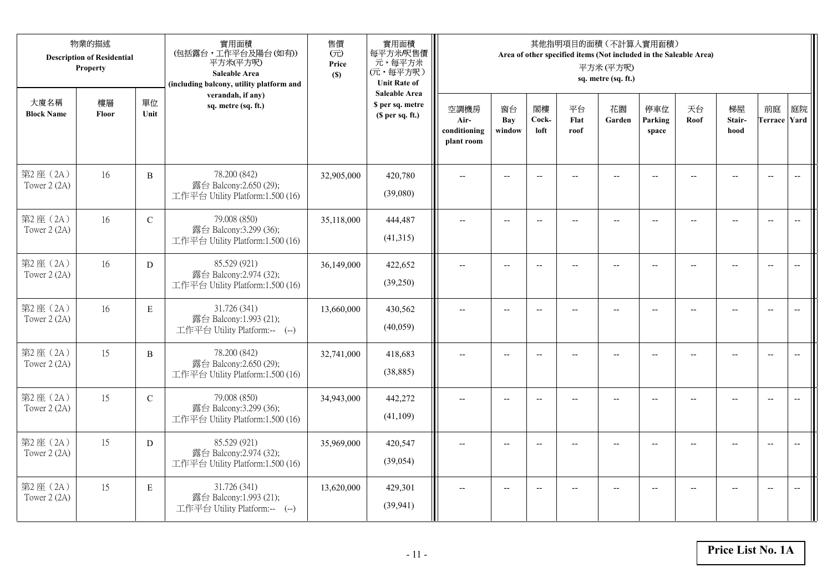|                          | 物業的描述<br><b>Description of Residential</b><br>Property<br>大廈名稱<br>樓層<br>單位 |              | 實用面積<br>(包括露台,工作平台及陽台(如有))<br>平方米(平方呎)<br>Saleable Area<br>(including balcony, utility platform and | 售價<br>(元)<br>Price<br>(S) | 實用面積<br>每平方米/呎售價<br>元,每平方米<br>(元,每平方呎)<br><b>Unit Rate of</b> |                                            | Area of other specified items (Not included in the Saleable Area) |                          |                    |                          |                         |            |                          |                           |                          |
|--------------------------|----------------------------------------------------------------------------|--------------|-----------------------------------------------------------------------------------------------------|---------------------------|---------------------------------------------------------------|--------------------------------------------|-------------------------------------------------------------------|--------------------------|--------------------|--------------------------|-------------------------|------------|--------------------------|---------------------------|--------------------------|
| <b>Block Name</b>        | Floor                                                                      | Unit         | verandah, if any)<br>sq. metre (sq. ft.)                                                            |                           | <b>Saleable Area</b><br>\$ per sq. metre<br>(\$ per sq. ft.)  | 空調機房<br>Air-<br>conditioning<br>plant room | 窗台<br>Bay<br>window                                               | 閣樓<br>Cock-<br>loft      | 平台<br>Flat<br>roof | 花園<br>Garden             | 停車位<br>Parking<br>space | 天台<br>Roof | 梯屋<br>Stair-<br>hood     | 前庭<br><b>Terrace Yard</b> | 庭院                       |
| 第2座(2A)<br>Tower $2(2A)$ | 16                                                                         | $\, {\bf B}$ | 78.200 (842)<br>露台 Balcony:2.650 (29);<br>工作平台 Utility Platform:1.500 (16)                          | 32,905,000                | 420,780<br>(39,080)                                           |                                            |                                                                   | $-$                      |                    |                          |                         |            |                          | $\overline{\phantom{a}}$  | $\overline{\phantom{a}}$ |
| 第2座(2A)<br>Tower 2 (2A)  | 16                                                                         | $\mathbf C$  | 79.008 (850)<br>露台 Balcony:3.299 (36);<br>工作平台 Utility Platform:1.500 (16)                          | 35,118,000                | 444,487<br>(41,315)                                           | $\overline{a}$                             | $\overline{\phantom{a}}$                                          | $\overline{\phantom{a}}$ | $-$                | $\overline{\phantom{a}}$ | $-$                     | $-$        | $\overline{a}$           | $\overline{a}$            | $-$                      |
| 第2座(2A)<br>Tower 2 (2A)  | 16                                                                         | D            | 85.529 (921)<br>露台 Balcony:2.974 (32);<br>工作平台 Utility Platform:1.500 (16)                          | 36,149,000                | 422,652<br>(39,250)                                           |                                            | $\overline{a}$                                                    | $\overline{\phantom{a}}$ |                    | $\overline{a}$           |                         |            |                          | $\overline{a}$            |                          |
| 第2座(2A)<br>Tower $2(2A)$ | 16                                                                         | $\mathbf E$  | 31.726 (341)<br>露台 Balcony:1.993 (21);<br>工作平台 Utility Platform:-- (--)                             | 13,660,000                | 430,562<br>(40,059)                                           | $\overline{\phantom{a}}$                   | $-$                                                               | $-$                      | $\overline{a}$     | $\overline{\phantom{a}}$ | $\overline{a}$          |            | $\overline{\phantom{a}}$ | $\overline{\phantom{a}}$  | $\overline{\phantom{m}}$ |
| 第2座 (2A)<br>Tower 2 (2A) | 15                                                                         | B            | 78.200 (842)<br>露台 Balcony:2.650 (29);<br>工作平台 Utility Platform:1.500 (16)                          | 32,741,000                | 418,683<br>(38, 885)                                          | $\overline{a}$                             | $\overline{\phantom{a}}$                                          | $\overline{\phantom{a}}$ | $\qquad \qquad -$  | $-$                      | $-$                     | --         | $-$                      | $\overline{\phantom{m}}$  | $\overline{\phantom{m}}$ |
| 第2座(2A)<br>Tower 2 (2A)  | 15                                                                         | $\mathbf C$  | 79.008 (850)<br>露台 Balcony:3.299 (36);<br>工作平台 Utility Platform:1.500 (16)                          | 34,943,000                | 442,272<br>(41,109)                                           |                                            | $-$                                                               | $-$                      |                    |                          |                         |            | $-$                      | $\overline{a}$            | $-$                      |
| 第2座(2A)<br>Tower 2 (2A)  | 15                                                                         | D            | 85.529 (921)<br>露台 Balcony:2.974 (32);<br>工作平台 Utility Platform:1.500 (16)                          | 35,969,000                | 420,547<br>(39, 054)                                          | $\sim$                                     | $-$                                                               | $\overline{\phantom{a}}$ |                    | $\sim$                   |                         |            | $\overline{a}$           | $-$                       | $\overline{a}$           |
| 第2座(2A)<br>Tower 2 (2A)  | 15                                                                         | E            | 31.726 (341)<br>露台 Balcony:1.993 (21);<br>工作平台 Utility Platform:-- (--)                             | 13,620,000                | 429,301<br>(39, 941)                                          |                                            | $-$                                                               |                          |                    | --                       |                         |            |                          | $\overline{\phantom{a}}$  | $-$                      |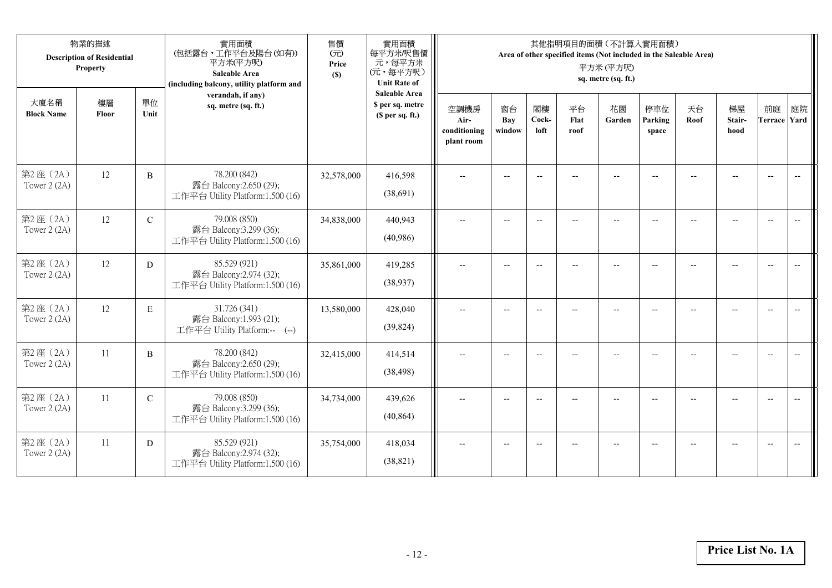| 物業的描述<br><b>Description of Residential</b><br><b>Property</b> |             |               | 實用面積<br>(包括露台,工作平台及陽台(如有))<br>平方米(平方呎)<br><b>Saleable Area</b><br>(including balcony, utility platform and | 售價<br>(元)<br>Price<br>(S) | 實用面積<br>每平方米/呎售價<br>元,每平方米<br>(元,每平方呎)<br><b>Unit Rate of</b>          |                                            |                            | 平方米(平方呎)<br>sq. metre (sq. ft.) | 其他指明項目的面積 (不計算入實用面積)<br>Area of other specified items (Not included in the Saleable Area) |                          |                          |                          |                          |                           |    |
|---------------------------------------------------------------|-------------|---------------|------------------------------------------------------------------------------------------------------------|---------------------------|------------------------------------------------------------------------|--------------------------------------------|----------------------------|---------------------------------|-------------------------------------------------------------------------------------------|--------------------------|--------------------------|--------------------------|--------------------------|---------------------------|----|
| 大廈名稱<br><b>Block Name</b>                                     | 樓層<br>Floor | 單位<br>Unit    | verandah, if any)<br>sq. metre (sq. ft.)                                                                   |                           | <b>Saleable Area</b><br>\$ per sq. metre<br>(S <sub>per</sub> sq. ft.) | 空調機房<br>Air-<br>conditioning<br>plant room | 窗台<br><b>Bay</b><br>window | 閣樓<br>Cock-<br>loft             | 平台<br>Flat<br>roof                                                                        | 花園<br>Garden             | 停車位<br>Parking<br>space  | 天台<br>Roof               | 梯屋<br>Stair-<br>hood     | 前庭<br><b>Terrace Yard</b> | 庭院 |
| 第2座(2A)<br>Tower 2 (2A)                                       | 12          | B             | 78.200 (842)<br>露台 Balcony:2.650 (29);<br>工作平台 Utility Platform:1.500 (16)                                 | 32,578,000                | 416,598<br>(38,691)                                                    | $\overline{\phantom{a}}$                   | $\overline{\phantom{a}}$   | $\overline{\phantom{a}}$        |                                                                                           | $\overline{\phantom{a}}$ | $\overline{\phantom{a}}$ |                          |                          | $\overline{\phantom{a}}$  |    |
| 第2座(2A)<br>Tower 2 (2A)                                       | 12          | $\mathcal{C}$ | 79.008 (850)<br>露台 Balcony:3.299 (36);<br>工作平台 Utility Platform:1.500 (16)                                 | 34,838,000                | 440,943<br>(40,986)                                                    | $\overline{\phantom{a}}$                   | $-$                        | $\overline{a}$                  | $-$                                                                                       | $\overline{a}$           | $-$                      |                          |                          | $\overline{\phantom{a}}$  |    |
| 第2座(2A)<br>Tower 2 (2A)                                       | 12          | D             | 85.529 (921)<br>露台 Balcony:2.974 (32);<br>工作平台 Utility Platform:1.500 (16)                                 | 35,861,000                | 419,285<br>(38,937)                                                    | $\overline{a}$                             | $\overline{\phantom{a}}$   | $\overline{\phantom{a}}$        | --                                                                                        | $\overline{\phantom{a}}$ | $-$                      |                          |                          | $\overline{\phantom{a}}$  |    |
| 第2座(2A)<br>Tower 2 (2A)                                       | 12          | E             | 31.726 (341)<br>露台 Balcony:1.993 (21);<br>工作平台 Utility Platform:-- (--)                                    | 13,580,000                | 428,040<br>(39, 824)                                                   | $\overline{\phantom{a}}$                   | $\overline{\phantom{a}}$   | $\overline{\phantom{a}}$        | --                                                                                        | $\overline{\phantom{a}}$ | $\overline{a}$           | $-$                      |                          | $\overline{\phantom{a}}$  |    |
| 第2座(2A)<br>Tower 2 (2A)                                       | 11          | B             | 78.200 (842)<br>露台 Balcony:2.650 (29);<br>工作平台 Utility Platform:1.500 (16)                                 | 32,415,000                | 414,514<br>(38, 498)                                                   | $\overline{\phantom{a}}$                   | $-$                        | $\overline{a}$                  | $-$                                                                                       | $-$                      | $\overline{a}$           | $\overline{\phantom{0}}$ | $\overline{\phantom{a}}$ | $\overline{\phantom{a}}$  |    |
| 第2座(2A)<br>Tower 2 (2A)                                       | 11          | $\mathcal{C}$ | 79.008 (850)<br>露台 Balcony:3.299 (36);<br>工作平台 Utility Platform:1.500 (16)                                 | 34,734,000                | 439,626<br>(40, 864)                                                   | $\overline{a}$                             | $\overline{\phantom{a}}$   | $-$                             | --                                                                                        | $-$                      | $\overline{a}$           |                          |                          | $\overline{\phantom{a}}$  |    |
| 第2座(2A)<br>Tower 2 (2A)                                       | 11          | D             | 85.529 (921)<br>露台 Balcony:2.974 (32);<br>工作平台 Utility Platform:1.500 (16)                                 | 35,754,000                | 418,034<br>(38, 821)                                                   |                                            | $\overline{\phantom{a}}$   | $\sim$                          | $-$                                                                                       | $\overline{\phantom{a}}$ | $\overline{a}$           |                          |                          | $\overline{\phantom{a}}$  |    |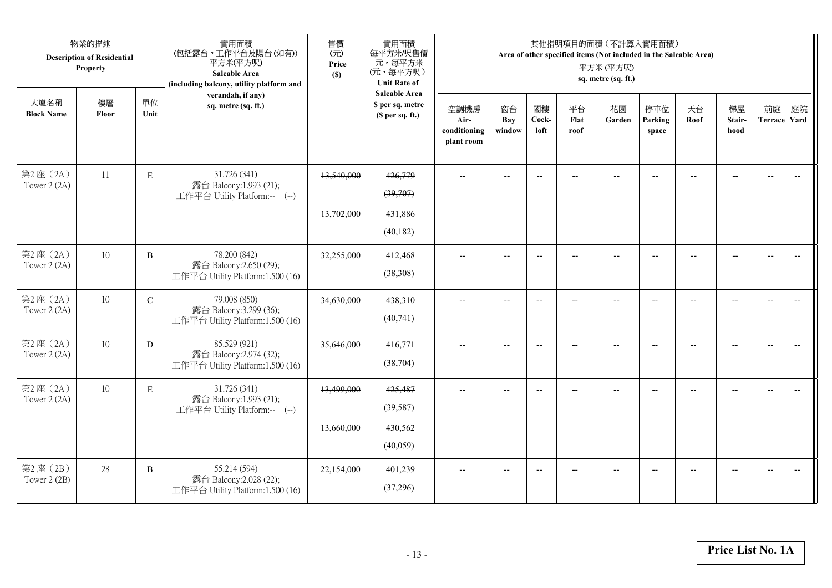|                          | 物業的描述<br><b>Description of Residential</b><br>Property<br>大廈名稱<br>單位<br>樓層 |               | 實用面積<br>(包括露台,工作平台及陽台(如有))<br>平方米(平方呎)<br>Saleable Area<br>(including balcony, utility platform and | 售價<br>(元)<br>Price<br>(S) | 實用面積<br>每平方米/呎售價<br>元,每平方米<br>(元,每平方呎)<br><b>Unit Rate of</b> | 其他指明項目的面積 (不計算入實用面積)<br>Area of other specified items (Not included in the Saleable Area)<br>平方米(平方呎)<br>sq. metre (sq. ft.) |                          |                          |                          |                          |                          |                |                          |                          |    |  |  |
|--------------------------|----------------------------------------------------------------------------|---------------|-----------------------------------------------------------------------------------------------------|---------------------------|---------------------------------------------------------------|------------------------------------------------------------------------------------------------------------------------------|--------------------------|--------------------------|--------------------------|--------------------------|--------------------------|----------------|--------------------------|--------------------------|----|--|--|
| <b>Block Name</b>        | Floor                                                                      | Unit          | verandah, if any)<br>sq. metre (sq. ft.)                                                            |                           | <b>Saleable Area</b><br>\$ per sq. metre<br>(\$ per sq. ft.)  | 空調機房<br>Air-<br>conditioning<br>plant room                                                                                   | 窗台<br>Bay<br>window      | 閣樓<br>Cock-<br>loft      | 平台<br>Flat<br>roof       | 花園<br>Garden             | 停車位<br>Parking<br>space  | 天台<br>Roof     | 梯屋<br>Stair-<br>hood     | 前庭<br>Terrace Yard       | 庭院 |  |  |
| 第2座(2A)<br>Tower $2(2A)$ | 11                                                                         | $\mathbf E$   | 31.726 (341)<br>露台 Balcony:1.993 (21);<br>工作平台 Utility Platform:-- (--)                             | 13,540,000<br>13,702,000  | 426,779<br>(39,707)<br>431,886<br>(40, 182)                   | $\overline{\phantom{a}}$                                                                                                     | $\overline{\phantom{a}}$ | $\overline{a}$           | $\overline{\phantom{a}}$ | $\overline{\phantom{a}}$ | $\overline{\phantom{a}}$ | $-$            | $\overline{\phantom{a}}$ | $\overline{\phantom{a}}$ |    |  |  |
| 第2座(2A)<br>Tower 2 (2A)  | 10                                                                         | $\, {\bf B}$  | 78.200 (842)<br>露台 Balcony:2.650 (29);<br>工作平台 Utility Platform:1.500 (16)                          | 32,255,000                | 412,468<br>(38, 308)                                          |                                                                                                                              | $-$                      | $\overline{\phantom{a}}$ | $-$                      | $-$                      | $-$                      |                | $-$                      | $-$                      |    |  |  |
| 第2座(2A)<br>Tower 2 (2A)  | 10                                                                         | $\mathcal{C}$ | 79.008 (850)<br>露台 Balcony:3.299 (36);<br>工作平台 Utility Platform:1.500 (16)                          | 34,630,000                | 438,310<br>(40,741)                                           | $-$                                                                                                                          | $-$                      | $\overline{\phantom{a}}$ | $\overline{a}$           | $\overline{a}$           | $\overline{a}$           | $\overline{a}$ | $\overline{\phantom{a}}$ | $\overline{a}$           |    |  |  |
| 第2座(2A)<br>Tower 2 (2A)  | 10                                                                         | D             | 85.529 (921)<br>露台 Balcony:2.974 (32);<br>工作平台 Utility Platform:1.500 (16)                          | 35,646,000                | 416,771<br>(38, 704)                                          | $\overline{a}$                                                                                                               | $-$                      | $\overline{\phantom{a}}$ | $\overline{a}$           | $-$                      | $-$                      |                | $\overline{\phantom{0}}$ | $\overline{\phantom{m}}$ |    |  |  |
| 第2座 (2A)<br>Tower 2 (2A) | 10                                                                         | $\mathbf E$   | 31.726 (341)<br>露台 Balcony:1.993 (21);<br>工作平台 Utility Platform:-- (--)                             | 13,499,000<br>13,660,000  | 425,487<br>(39, 587)<br>430,562<br>(40,059)                   | $\overline{\phantom{a}}$                                                                                                     | $-$                      | $\overline{a}$           | $\overline{a}$           | $\overline{a}$           | $-$                      |                |                          | $\overline{\phantom{a}}$ |    |  |  |
| 第2座(2B)<br>Tower 2 (2B)  | 28                                                                         | $\, {\bf B}$  | 55.214 (594)<br>露台 Balcony: 2.028 (22);<br>工作平台 Utility Platform:1.500 (16)                         | 22,154,000                | 401,239<br>(37,296)                                           |                                                                                                                              |                          |                          |                          |                          |                          |                |                          | $\overline{\phantom{a}}$ |    |  |  |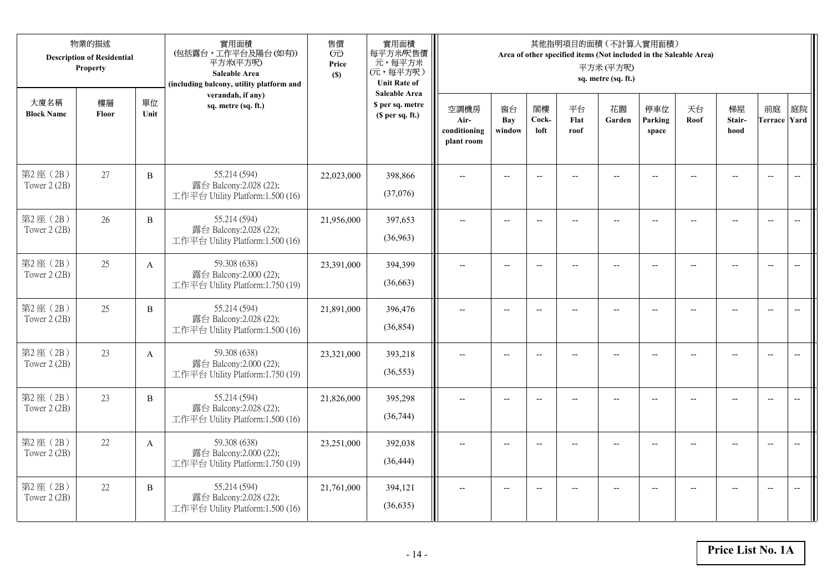|                         | 物業的描述<br><b>Description of Residential</b><br>Property<br>大廈名稱<br>單位<br>樓層 |                | 實用面積<br>(包括露台,工作平台及陽台(如有))<br>平方米(平方呎)<br>Saleable Area<br>(including balcony, utility platform and | 售價<br>(元)<br>Price<br>(S) | 實用面積<br>每平方米/呎售價<br>元,每平方米<br>(元,每平方呎)<br><b>Unit Rate of</b>          | 其他指明項目的面積 (不計算入實用面積)<br>Area of other specified items (Not included in the Saleable Area)<br>平方米(平方呎)<br>sq. metre (sq. ft.) |                          |                          |                          |                          |                          |                |                      |                          |                          |  |
|-------------------------|----------------------------------------------------------------------------|----------------|-----------------------------------------------------------------------------------------------------|---------------------------|------------------------------------------------------------------------|------------------------------------------------------------------------------------------------------------------------------|--------------------------|--------------------------|--------------------------|--------------------------|--------------------------|----------------|----------------------|--------------------------|--------------------------|--|
| <b>Block Name</b>       | Floor                                                                      | Unit           | verandah, if any)<br>sq. metre (sq. ft.)                                                            |                           | <b>Saleable Area</b><br>\$ per sq. metre<br>(S <sub>per</sub> sq. ft.) | 空調機房<br>Air-<br>conditioning<br>plant room                                                                                   | 窗台<br>Bay<br>window      | 閣樓<br>Cock-<br>loft      | 平台<br>Flat<br>roof       | 花園<br>Garden             | 停車位<br>Parking<br>space  | 天台<br>Roof     | 梯屋<br>Stair-<br>hood | 前庭<br>Terrace Yard       | 庭院                       |  |
| 第2座(2B)<br>Tower 2 (2B) | 27                                                                         | $\, {\bf B}$   | 55.214 (594)<br>露台 Balcony:2.028 (22);<br>工作平台 Utility Platform:1.500 (16)                          | 22,023,000                | 398,866<br>(37,076)                                                    |                                                                                                                              | $\overline{\phantom{a}}$ | $-$                      |                          | $-$                      |                          |                |                      | $\overline{\phantom{a}}$ | $\overline{\phantom{a}}$ |  |
| 第2座(2B)<br>Tower 2 (2B) | 26                                                                         | $\overline{B}$ | 55.214 (594)<br>露台 Balcony:2.028 (22);<br>工作平台 Utility Platform:1.500 (16)                          | 21,956,000                | 397,653<br>(36,963)                                                    | $\overline{\phantom{a}}$                                                                                                     | $-$                      | $\overline{\phantom{a}}$ | $-$                      | $\overline{\phantom{m}}$ | $-$                      | $-$            | $-$                  | $\overline{a}$           |                          |  |
| 第2座(2B)<br>Tower 2 (2B) | 25                                                                         | $\mathbf{A}$   | 59.308 (638)<br>露台 Balcony:2.000 (22);<br>工作平台 Utility Platform:1.750 (19)                          | 23,391,000                | 394,399<br>(36,663)                                                    | $\overline{\phantom{a}}$                                                                                                     | $\overline{a}$           | $\overline{\phantom{a}}$ | $-$                      | $\overline{a}$           | $-$                      | $\sim$         | $\overline{a}$       | $\overline{\phantom{a}}$ |                          |  |
| 第2座(2B)<br>Tower 2 (2B) | 25                                                                         | $\, {\bf B}$   | 55.214 (594)<br>露台 Balcony:2.028 (22);<br>工作平台 Utility Platform:1.500 (16)                          | 21,891,000                | 396,476<br>(36, 854)                                                   | $\overline{\phantom{a}}$                                                                                                     | $-$                      | $\overline{\phantom{a}}$ | $\overline{\phantom{a}}$ | $\overline{a}$           | $\overline{\phantom{a}}$ | $\overline{a}$ | $\overline{a}$       | $\overline{\phantom{a}}$ | $\overline{\phantom{a}}$ |  |
| 第2座(2B)<br>Tower 2 (2B) | 23                                                                         | $\mathbf{A}$   | 59.308 (638)<br>露台 Balcony:2.000 (22);<br>工作平台 Utility Platform:1.750 (19)                          | 23,321,000                | 393,218<br>(36, 553)                                                   |                                                                                                                              | $\overline{\phantom{a}}$ | $-$                      |                          | $\overline{a}$           |                          |                |                      | $\overline{\phantom{a}}$ | $\overline{\phantom{m}}$ |  |
| 第2座(2B)<br>Tower 2 (2B) | 23                                                                         | $\, {\bf B}$   | 55.214 (594)<br>露台 Balcony:2.028 (22);<br>工作平台 Utility Platform:1.500 (16)                          | 21,826,000                | 395,298<br>(36,744)                                                    |                                                                                                                              | $-$                      | $\overline{\phantom{a}}$ |                          | $\sim$                   |                          |                | $\sim$               | $\overline{a}$           | $\overline{a}$           |  |
| 第2座(2B)<br>Tower 2 (2B) | 22                                                                         | $\mathbf{A}$   | 59.308 (638)<br>露台 Balcony:2.000 (22);<br>工作平台 Utility Platform:1.750 (19)                          | 23,251,000                | 392,038<br>(36, 444)                                                   |                                                                                                                              | $-$                      | $\overline{\phantom{a}}$ |                          |                          |                          |                | $-$                  | $\overline{\phantom{a}}$ | $-$                      |  |
| 第2座(2B)<br>Tower 2 (2B) | 22                                                                         | B              | 55.214 (594)<br>露台 Balcony:2.028 (22);<br>工作平台 Utility Platform:1.500 (16)                          | 21,761,000                | 394,121<br>(36, 635)                                                   |                                                                                                                              | $-$                      | $-$                      |                          | $\overline{a}$           | $-$                      |                | $-$                  | $-$                      | $\overline{\phantom{a}}$ |  |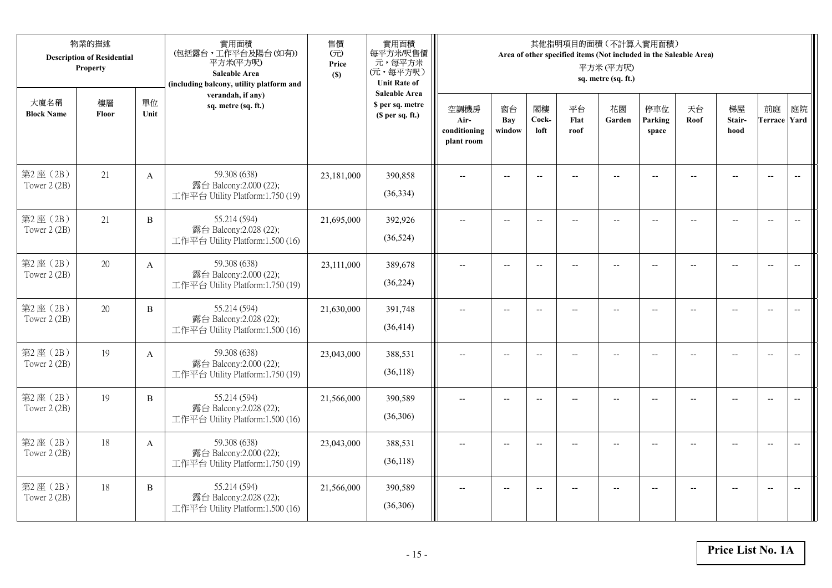|                           | 物業的描述<br><b>Description of Residential</b><br>Property |              | 實用面積<br>(包括露台,工作平台及陽台(如有))<br>平方米(平方呎)<br>Saleable Area<br>(including balcony, utility platform and | 售價<br>(元)<br>Price<br>(S) | 實用面積<br>每平方米/呎售價<br>元,每平方米<br>(元,每平方呎)<br><b>Unit Rate of</b>          | 其他指明項目的面積 (不計算入實用面積)<br>Area of other specified items (Not included in the Saleable Area)<br>平方米(平方呎)<br>sq. metre (sq. ft.) |                          |                          |                          |                          |                          |                |                          |                           |                          |  |  |
|---------------------------|--------------------------------------------------------|--------------|-----------------------------------------------------------------------------------------------------|---------------------------|------------------------------------------------------------------------|------------------------------------------------------------------------------------------------------------------------------|--------------------------|--------------------------|--------------------------|--------------------------|--------------------------|----------------|--------------------------|---------------------------|--------------------------|--|--|
| 大廈名稱<br><b>Block Name</b> | 樓層<br>Floor                                            | 單位<br>Unit   | verandah, if any)<br>sq. metre (sq. ft.)                                                            |                           | <b>Saleable Area</b><br>\$ per sq. metre<br>(S <sub>per</sub> sq. ft.) | 空調機房<br>Air-<br>conditioning<br>plant room                                                                                   | 窗台<br>Bay<br>window      | 閣樓<br>Cock-<br>loft      | 平台<br>Flat<br>roof       | 花園<br>Garden             | 停車位<br>Parking<br>space  | 天台<br>Roof     | 梯屋<br>Stair-<br>hood     | 前庭<br><b>Terrace Yard</b> | 庭院                       |  |  |
| 第2座(2B)<br>Tower 2 (2B)   | 21                                                     | $\mathbf{A}$ | 59.308 (638)<br>露台 Balcony:2.000 (22);<br>工作平台 Utility Platform:1.750 (19)                          | 23,181,000                | 390,858<br>(36,334)                                                    |                                                                                                                              |                          | $\overline{a}$           |                          |                          |                          |                |                          | $\overline{a}$            | $\overline{\phantom{a}}$ |  |  |
| 第2座(2B)<br>Tower 2 (2B)   | 21                                                     | B            | 55.214 (594)<br>露台 Balcony:2.028 (22);<br>工作平台 Utility Platform:1.500 (16)                          | 21,695,000                | 392,926<br>(36,524)                                                    | $\overline{\phantom{a}}$                                                                                                     | $\overline{\phantom{a}}$ | $\overline{\phantom{a}}$ | $\overline{a}$           | $\overline{\phantom{a}}$ | $-$                      |                | $\overline{a}$           | $-$                       | $\overline{\phantom{m}}$ |  |  |
| 第2座(2B)<br>Tower 2 (2B)   | 20                                                     | A            | 59.308 (638)<br>露台 Balcony:2.000 (22);<br>工作平台 Utility Platform:1.750 (19)                          | 23,111,000                | 389,678<br>(36, 224)                                                   |                                                                                                                              | $\overline{\phantom{a}}$ | $-$                      | $-$                      | $-$                      |                          |                | $\overline{\phantom{a}}$ | $\overline{\phantom{a}}$  |                          |  |  |
| 第2座(2B)<br>Tower 2 (2B)   | 20                                                     | $\, {\bf B}$ | 55.214 (594)<br>露台 Balcony: 2.028 (22);<br>工作平台 Utility Platform:1.500 (16)                         | 21,630,000                | 391,748<br>(36, 414)                                                   | $-$                                                                                                                          | $\overline{\phantom{m}}$ | $\overline{\phantom{a}}$ | $\overline{\phantom{a}}$ | $-$                      | $\overline{\phantom{a}}$ | $\overline{a}$ | --                       | $-$                       | $\overline{\phantom{m}}$ |  |  |
| 第2座(2B)<br>Tower 2 (2B)   | 19                                                     | $\mathbf{A}$ | 59.308 (638)<br>露台 Balcony:2.000 (22);<br>工作平台 Utility Platform:1.750 (19)                          | 23,043,000                | 388,531<br>(36,118)                                                    | $\sim$                                                                                                                       | $\overline{a}$           | $\overline{a}$           | $\overline{a}$           | $-$                      | $\overline{a}$           |                | $\overline{a}$           | $\overline{\phantom{a}}$  | $\overline{\phantom{a}}$ |  |  |
| 第2座(2B)<br>Tower 2 (2B)   | 19                                                     | $\, {\bf B}$ | 55.214 (594)<br>露台 Balcony:2.028 (22);<br>工作平台 Utility Platform:1.500 (16)                          | 21,566,000                | 390,589<br>(36,306)                                                    | $\overline{\phantom{a}}$                                                                                                     | $\overline{a}$           | $-$                      |                          | $-$                      | $-$                      | $-$            | $\overline{a}$           | $\overline{\phantom{a}}$  | $\sim$                   |  |  |
| 第2座(2B)<br>Tower 2 (2B)   | 18                                                     | $\mathbf{A}$ | 59.308 (638)<br>露台 Balcony:2.000 (22);<br>工作平台 Utility Platform:1.750 (19)                          | 23,043,000                | 388,531<br>(36, 118)                                                   |                                                                                                                              |                          | $\overline{\phantom{a}}$ |                          |                          |                          |                |                          | $\overline{\phantom{a}}$  | $\overline{\phantom{a}}$ |  |  |
| 第2座(2B)<br>Tower 2 (2B)   | 18                                                     | B            | 55.214 (594)<br>露台 Balcony:2.028 (22);<br>工作平台 Utility Platform:1.500 (16)                          | 21,566,000                | 390,589<br>(36,306)                                                    | $\overline{\phantom{a}}$                                                                                                     | $-$                      | $-$                      |                          | $\overline{a}$           | $-$                      |                | $-$                      | $-$                       | $\overline{\phantom{a}}$ |  |  |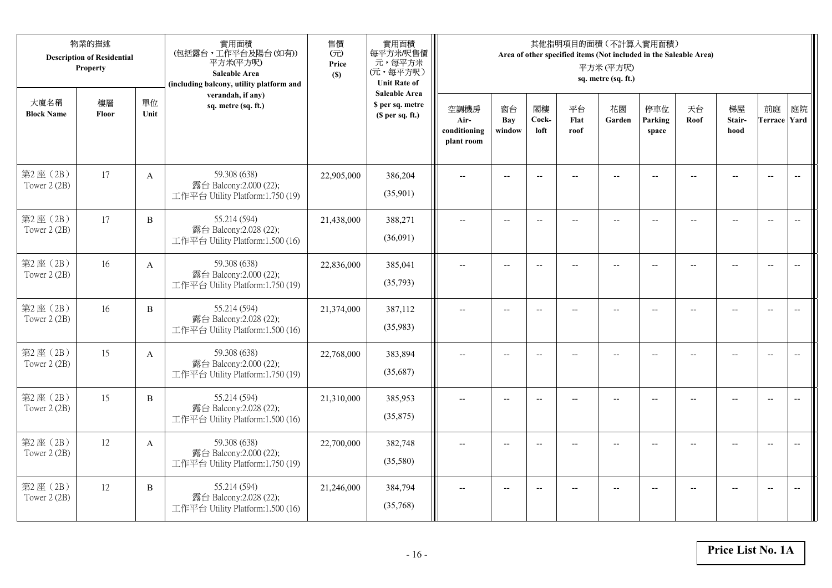|                           | 物業的描述<br><b>Description of Residential</b><br>Property |              | 實用面積<br>(包括露台,工作平台及陽台(如有))<br>平方米(平方呎)<br>Saleable Area<br>(including balcony, utility platform and | 售價<br>(元)<br>Price<br>(S) | 實用面積<br>每平方米/呎售價<br>元,每平方米<br>(元,每平方呎)<br><b>Unit Rate of</b>          | 其他指明項目的面積 (不計算入實用面積)<br>Area of other specified items (Not included in the Saleable Area)<br>平方米(平方呎)<br>sq. metre (sq. ft.) |                          |                          |                          |                          |                          |                |                          |                           |                          |  |
|---------------------------|--------------------------------------------------------|--------------|-----------------------------------------------------------------------------------------------------|---------------------------|------------------------------------------------------------------------|------------------------------------------------------------------------------------------------------------------------------|--------------------------|--------------------------|--------------------------|--------------------------|--------------------------|----------------|--------------------------|---------------------------|--------------------------|--|
| 大廈名稱<br><b>Block Name</b> | 樓層<br>Floor                                            | 單位<br>Unit   | verandah, if any)<br>sq. metre (sq. ft.)                                                            |                           | <b>Saleable Area</b><br>\$ per sq. metre<br>(S <sub>per</sub> sq. ft.) | 空調機房<br>Air-<br>conditioning<br>plant room                                                                                   | 窗台<br>Bay<br>window      | 閣樓<br>Cock-<br>loft      | 平台<br>Flat<br>roof       | 花園<br>Garden             | 停車位<br>Parking<br>space  | 天台<br>Roof     | 梯屋<br>Stair-<br>hood     | 前庭<br><b>Terrace Yard</b> | 庭院                       |  |
| 第2座(2B)<br>Tower 2 (2B)   | 17                                                     | $\mathbf{A}$ | 59.308 (638)<br>露台 Balcony:2.000 (22);<br>工作平台 Utility Platform:1.750 (19)                          | 22,905,000                | 386,204<br>(35,901)                                                    |                                                                                                                              |                          | $\overline{a}$           |                          |                          |                          |                |                          | $\overline{a}$            | $\overline{\phantom{a}}$ |  |
| 第2座(2B)<br>Tower 2 (2B)   | 17                                                     | B            | 55.214 (594)<br>露台 Balcony:2.028 (22);<br>工作平台 Utility Platform:1.500 (16)                          | 21,438,000                | 388,271<br>(36,091)                                                    | $\overline{\phantom{a}}$                                                                                                     | $\overline{\phantom{a}}$ | $\overline{\phantom{a}}$ | $\overline{a}$           | $\overline{\phantom{a}}$ | $-$                      |                | $\overline{a}$           | $-$                       | $\overline{\phantom{m}}$ |  |
| 第2座(2B)<br>Tower 2 (2B)   | 16                                                     | A            | 59.308 (638)<br>露台 Balcony:2.000 (22);<br>工作平台 Utility Platform:1.750 (19)                          | 22,836,000                | 385,041<br>(35,793)                                                    |                                                                                                                              | $\overline{\phantom{a}}$ | $-$                      | $-$                      | $-$                      |                          |                | $\overline{\phantom{a}}$ | $\overline{\phantom{a}}$  |                          |  |
| 第2座(2B)<br>Tower 2 (2B)   | 16                                                     | $\, {\bf B}$ | 55.214 (594)<br>露台 Balcony: 2.028 (22);<br>工作平台 Utility Platform:1.500 (16)                         | 21,374,000                | 387,112<br>(35,983)                                                    | $-$                                                                                                                          | $-$                      | $\overline{\phantom{a}}$ | $\overline{\phantom{a}}$ | $-$                      | $\overline{\phantom{a}}$ | $\overline{a}$ | --                       | $-$                       | $\overline{\phantom{m}}$ |  |
| 第2座(2B)<br>Tower 2 (2B)   | 15                                                     | $\mathbf{A}$ | 59.308 (638)<br>露台 Balcony:2.000 (22);<br>工作平台 Utility Platform:1.750 (19)                          | 22,768,000                | 383,894<br>(35,687)                                                    | $\sim$                                                                                                                       | $\overline{a}$           | $\overline{a}$           | $\overline{a}$           | $-$                      | $\overline{a}$           |                | $\overline{a}$           | $\overline{\phantom{a}}$  | $\overline{\phantom{a}}$ |  |
| 第2座(2B)<br>Tower 2 (2B)   | 15                                                     | $\, {\bf B}$ | 55.214 (594)<br>露台 Balcony:2.028 (22);<br>工作平台 Utility Platform:1.500 (16)                          | 21,310,000                | 385,953<br>(35,875)                                                    | $\overline{\phantom{a}}$                                                                                                     | $\overline{a}$           | $\overline{\phantom{a}}$ |                          | $-$                      | $-$                      | $-$            | $\overline{a}$           | $\overline{\phantom{a}}$  | $\sim$                   |  |
| 第2座(2B)<br>Tower 2 (2B)   | 12                                                     | $\mathbf{A}$ | 59.308 (638)<br>露台 Balcony:2.000 (22);<br>工作平台 Utility Platform:1.750 (19)                          | 22,700,000                | 382,748<br>(35,580)                                                    |                                                                                                                              |                          | $\overline{\phantom{a}}$ |                          |                          |                          |                |                          | $\overline{\phantom{a}}$  | $\overline{\phantom{a}}$ |  |
| 第2座(2B)<br>Tower 2 (2B)   | 12                                                     | B            | 55.214 (594)<br>露台 Balcony:2.028 (22);<br>工作平台 Utility Platform:1.500 (16)                          | 21,246,000                | 384,794<br>(35,768)                                                    | $\overline{\phantom{a}}$                                                                                                     | $-$                      | $\overline{\phantom{a}}$ |                          | $\overline{a}$           | $-$                      |                | $-$                      | $-$                       | $\overline{\phantom{a}}$ |  |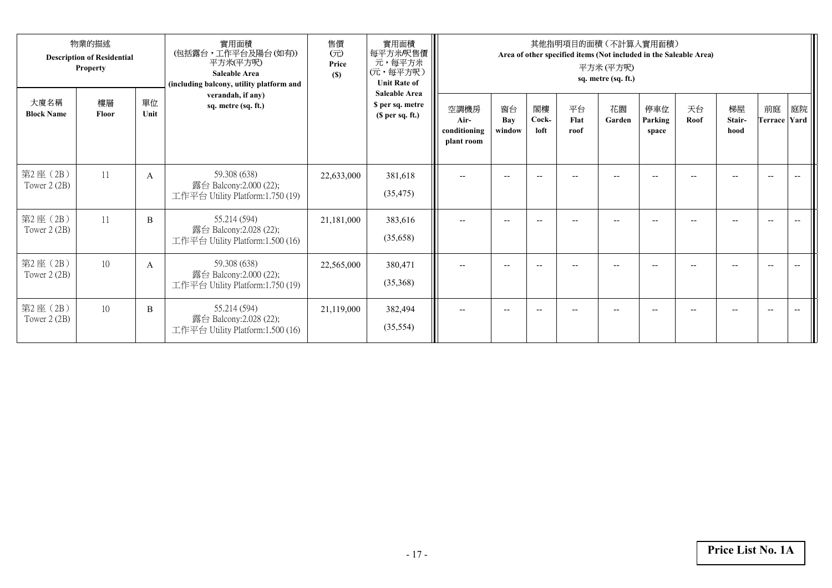| 物業的描述<br><b>Description of Residential</b><br><b>Property</b> |             |              | 實用面積<br>(包括露台,工作平台及陽台(如有))<br>平方米(平方呎)<br>Saleable Area<br>(including balcony, utility platform and | 售價<br>(元)<br>Price<br>(S) | 實用面積<br>每平方米/呎售價  <br>元,每平方米<br>(元,每平方呎)<br><b>Unit Rate of</b><br><b>Saleable Area</b> | 其他指明項目的面積(不計算入實用面積)<br>Area of other specified items (Not included in the Saleable Area)<br>平方米(平方呎)<br>sq. metre (sq. ft.) |                          |                                                     |                    |                          |                         |            |                      |                          |                          |  |  |
|---------------------------------------------------------------|-------------|--------------|-----------------------------------------------------------------------------------------------------|---------------------------|-----------------------------------------------------------------------------------------|-----------------------------------------------------------------------------------------------------------------------------|--------------------------|-----------------------------------------------------|--------------------|--------------------------|-------------------------|------------|----------------------|--------------------------|--------------------------|--|--|
| 大廈名稱<br><b>Block Name</b>                                     | 樓層<br>Floor | 單位<br>Unit   | verandah, if any)<br>sq. metre (sq. ft.)                                                            |                           | \$ per sq. metre<br>(S <sub>per</sub> sq. ft.)                                          | 空調機房<br>Air-<br>conditioning<br>plant room                                                                                  | 窗台<br>Bay<br>window      | 閣樓<br>Cock-<br>loft                                 | 平台<br>Flat<br>roof | 花園<br>Garden             | 停車位<br>Parking<br>space | 天台<br>Roof | 梯屋<br>Stair-<br>hood | 前庭<br>Terrace Yard       | 庭院                       |  |  |
| 第2座(2B)<br>Tower 2 (2B)                                       | 11          | A            | 59.308 (638)<br>露台 Balcony:2.000 (22);<br>工作平台 Utility Platform:1.750 (19)                          | 22,633,000                | 381,618<br>(35, 475)                                                                    | $\overline{a}$                                                                                                              | $- -$                    | $-$                                                 | --                 | $\overline{a}$           | --                      | $-$        | $-$                  | $\overline{\phantom{a}}$ |                          |  |  |
| 第2座(2B)<br>Tower 2 (2B)                                       | 11          | B            | 55.214 (594)<br>露台 Balcony:2.028 (22);<br>工作平台 Utility Platform:1.500 (16)                          | 21,181,000                | 383,616<br>(35,658)                                                                     | $\overline{\phantom{a}}$                                                                                                    | $\overline{\phantom{a}}$ | $\hspace{0.05cm} -\hspace{0.05cm} -\hspace{0.05cm}$ | --                 | $\overline{\phantom{a}}$ | --                      | --         |                      | $\overline{\phantom{a}}$ |                          |  |  |
| 第2座(2B)<br>Tower $2(2B)$                                      | 10          | $\mathbf{A}$ | 59.308 (638)<br>露台 Balcony:2.000 (22);<br>工作平台 Utility Platform:1.750 (19)                          | 22,565,000                | 380,471<br>(35,368)                                                                     | $\overline{\phantom{a}}$                                                                                                    |                          | $-$                                                 |                    |                          |                         |            |                      | $-$                      |                          |  |  |
| 第2座(2B)<br>Tower 2 (2B)                                       | 10          | B            | 55.214 (594)<br>露台 Balcony: 2.028 (22);<br>工作平台 Utility Platform:1.500 (16)                         | 21,119,000                | 382,494<br>(35,554)                                                                     | $\overline{\phantom{a}}$                                                                                                    | $-$                      | $- -$                                               | $- -$              | $- -$                    | $-$                     | $-$        | $- -$                | $- -$                    | $\overline{\phantom{a}}$ |  |  |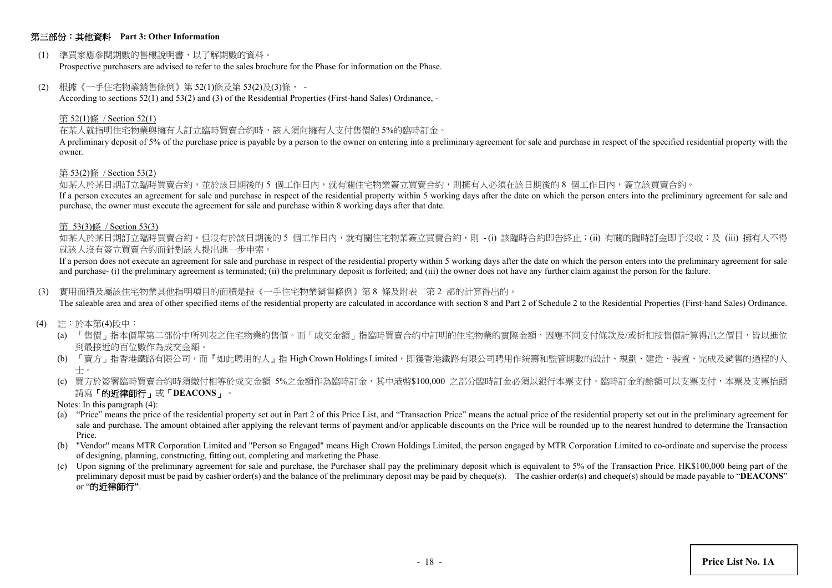## 第三部份:其他資料 **Part 3: Other Information**

(1) 準買家應參閱期數的售樓說明書,以了解期數的資料。

Prospective purchasers are advised to refer to the sales brochure for the Phase for information on the Phase.

(2) 根據《一手住宅物業銷售條例》第 52(1)條及第 53(2)及(3)條, -

According to sections 52(1) and 53(2) and (3) of the Residential Properties (First-hand Sales) Ordinance, -

#### 第 52(1)條 / Section 52(1)

#### 在某人就指明住宅物業與擁有人訂立臨時買賣合約時,該人須向擁有人支付售價的 5%的臨時訂金。

A preliminary deposit of 5% of the purchase price is payable by a person to the owner on entering into a preliminary agreement for sale and purchase in respect of the specified residential property with the owner.

#### 第 53(2)條 / Section 53(2)

如某人於某日期訂立臨時買賣合約,並於該日期後的 5 個工作日內,就有關住宅物業簽立買賣合約,則擁有人必須在該日期後的 8 個工作日內,簽立該買賣合約。

If a person executes an agreement for sale and purchase in respect of the residential property within 5 working days after the date on which the person enters into the preliminary agreement for sale and purchase, the owner must execute the agreement for sale and purchase within 8 working days after that date.

#### 第 53(3)條 / Section 53(3)

如某人於某日期訂立臨時買賣合約,但沒有於該日期後的 5 個工作日内,就有關住宅物業簽立買賣合約,則 -(i) 該臨時合約即告終止;(ii) 有關的臨時訂金即予沒收;及 (iii) 擁有人不得 就該人沒有簽立買賣合約而針對該人提出進一步申索。

If a person does not execute an agreement for sale and purchase in respect of the residential property within 5 working days after the date on which the person enters into the preliminary agreement for sale and purchase- (i) the preliminary agreement is terminated; (ii) the preliminary deposit is forfeited; and (iii) the owner does not have any further claim against the person for the failure.

#### (3) 實用面積及屬該住宅物業其他指明項目的面積是按《一手住宅物業銷售條例》第 8 條及附表二第 2 部的計算得出的。

The saleable area and area of other specified items of the residential property are calculated in accordance with section 8 and Part 2 of Schedule 2 to the Residential Properties (First-hand Sales) Ordinance.

- (4) 註:於本第(4)段中:
	- (a) 「售價」指本價單第二部份中所列表之住宅物業的售價。而「成交金額」指臨時買賣合約中訂明的住宅物業的實際金額,因應不同支付條款及/或折扣按售價計算得出之價目,皆以進位 到最接近的百位數作為成交金額。
	- (b) 「賣方」指香港鐵路有限公司,而『如此聘用的人』指 High Crown Holdings Limited,即獲香港鐵路有限公司聘用作統籌和監管期數的設計、規劃、建造、裝置、完成及銷售的過程的人 士。
	- (c) 買方於簽署臨時買賣合約時須繳付相等於成交金額 5%之金額作為臨時訂金,其中港幣\$100,000 之部分臨時訂金必須以銀行本票支付,臨時訂金的餘額可以支票支付,本票及支票抬頭 請寫「的近律師行」或「**DEACONS**」。
	- Notes: In this paragraph (4):
	- (a) "Price" means the price of the residential property set out in Part 2 of this Price List, and "Transaction Price" means the actual price of the residential property set out in the preliminary agreement for sale and purchase. The amount obtained after applying the relevant terms of payment and/or applicable discounts on the Price will be rounded up to the nearest hundred to determine the Transaction Price.
	- (b) "Vendor" means MTR Corporation Limited and "Person so Engaged" means High Crown Holdings Limited, the person engaged by MTR Corporation Limited to co-ordinate and supervise the process of designing, planning, constructing, fitting out, completing and marketing the Phase.
	- (c) Upon signing of the preliminary agreement for sale and purchase, the Purchaser shall pay the preliminary deposit which is equivalent to 5% of the Transaction Price. HK\$100,000 being part of the preliminary deposit must be paid by cashier order(s) and the balance of the preliminary deposit may be paid by cheque(s). The cashier order(s) and cheque(s) should be made payable to "**DEACONS**" or "的近律師行**"**.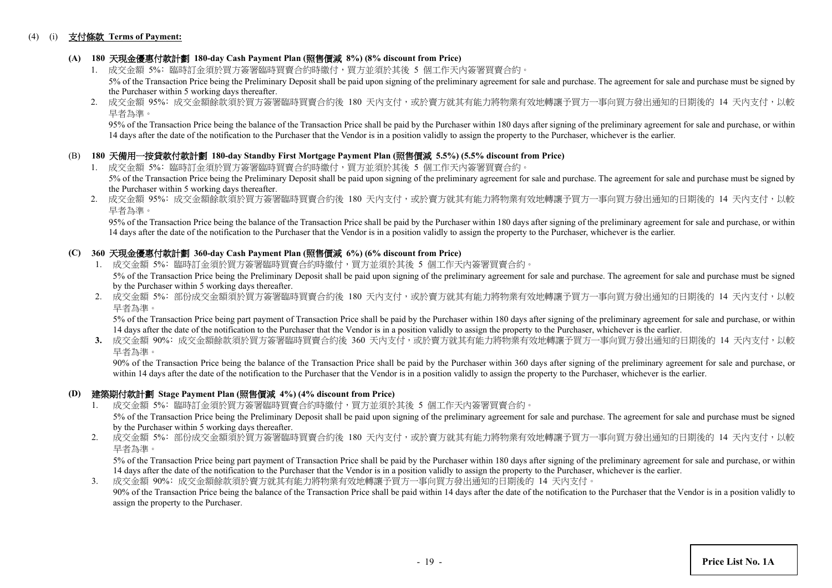#### (4) (i) 支付條款 **Terms of Payment:**

## **(A) 180** 天現金優惠付款計劃 **180-day Cash Payment Plan (**照售價減 **8%) (8% discount from Price)**

- 1. 成交金額 5%: 臨時訂金須於買方簽署臨時買賣合約時繳付,買方並須於其後 5 個工作天内簽署買賣合約。 5% of the Transaction Price being the Preliminary Deposit shall be paid upon signing of the preliminary agreement for sale and purchase. The agreement for sale and purchase must be signed by the Purchaser within 5 working days thereafter.
- 2. 成交金額 95%: 成交金額餘款須於買方簽署臨時買賣合約後 180 天內支付,或於賣方就其有能力將物業有效地轉讓予買方一事向買方發出通知的日期後的 14 天内支付,以較 早者為準。

95% of the Transaction Price being the balance of the Transaction Price shall be paid by the Purchaser within 180 days after signing of the preliminary agreement for sale and purchase, or within 14 days after the date of the notification to the Purchaser that the Vendor is in a position validly to assign the property to the Purchaser, whichever is the earlier.

#### (B) **180** 天備用一按貸款付款計劃 **180-day Standby First Mortgage Payment Plan (**照售價減 **5.5%) (5.5% discount from Price)**

- 1. 成交金額 5%: 臨時訂金須於買方簽署臨時買賣合約時繳付,買方並須於其後 5 個工作天內簽署買賣合約。 5% of the Transaction Price being the Preliminary Deposit shall be paid upon signing of the preliminary agreement for sale and purchase. The agreement for sale and purchase must be signed by the Purchaser within 5 working days thereafter.
- 2. 成交金額 95%: 成交金額餘款須於買方簽署臨時買賣合約後 180 天內支付,或於賣方就其有能力將物業有效地轉讓予買方一事向買方發出通知的日期後的 14 天内支付,以較 早者為準。

 95% of the Transaction Price being the balance of the Transaction Price shall be paid by the Purchaser within 180 days after signing of the preliminary agreement for sale and purchase, or within 14 days after the date of the notification to the Purchaser that the Vendor is in a position validly to assign the property to the Purchaser, whichever is the earlier.

## **(C) 360** 天現金優惠付款計劃 **360-day Cash Payment Plan (**照售價減 **6%) (6% discount from Price)**

- 1. 成交金額 5%: 臨時訂金須於買方簽署臨時買賣合約時繳付,買方並須於其後 5 個工作天內簽署買賣合約。 5% of the Transaction Price being the Preliminary Deposit shall be paid upon signing of the preliminary agreement for sale and purchase. The agreement for sale and purchase must be signed by the Purchaser within 5 working days thereafter.
- 2. 成交金額 5%: 部份成交金額須於買方簽署臨時買賣合約後 180 天內支付,或於賣方就其有能力將物業有效地轉讓予買方一事向買方發出通知的日期後的 14 天內支付,以較 早者為準。

5% of the Transaction Price being part payment of Transaction Price shall be paid by the Purchaser within 180 days after signing of the preliminary agreement for sale and purchase, or within 14 days after the date of the notification to the Purchaser that the Vendor is in a position validly to assign the property to the Purchaser, whichever is the earlier.

3. 成交金額 90%: 成交金額餘款須於買方簽署臨時買賣合約後 360 天内支付,或於賣方就其有能力將物業有效地轉讓予買方一事向買方發出通知的日期後的 14 天内支付,以較 早者為準。

90% of the Transaction Price being the balance of the Transaction Price shall be paid by the Purchaser within 360 days after signing of the preliminary agreement for sale and purchase, or within 14 days after the date of the notification to the Purchaser that the Vendor is in a position validly to assign the property to the Purchaser, whichever is the earlier.

#### **(D)** 建築期付款計劃 **Stage Payment Plan (**照售價減 **4%) (4% discount from Price)**

- 1. 成交金額 5%﹕臨時訂金須於買方簽署臨時買賣合約時繳付,買方並須於其後 5 個工作天內簽署買賣合約。 5% of the Transaction Price being the Preliminary Deposit shall be paid upon signing of the preliminary agreement for sale and purchase. The agreement for sale and purchase must be signed by the Purchaser within 5 working days thereafter.
- 2. 成交金額 5%: 部份成交金額須於買方簽署臨時買賣合約後 180 天內支付,或於賣方就其有能力將物業有效地轉讓予買方一事向買方發出通知的日期後的 14 天内支付,以較 早者為準。

5% of the Transaction Price being part payment of Transaction Price shall be paid by the Purchaser within 180 days after signing of the preliminary agreement for sale and purchase, or within 14 days after the date of the notification to the Purchaser that the Vendor is in a position validly to assign the property to the Purchaser, whichever is the earlier.

3. 成交金額 90%﹕成交金額餘款須於賣方就其有能力將物業有效地轉讓予買方一事向買方發出通知的日期後的 14 天內支付。 90% of the Transaction Price being the balance of the Transaction Price shall be paid within 14 days after the date of the notification to the Purchaser that the Vendor is in a position validly to assign the property to the Purchaser.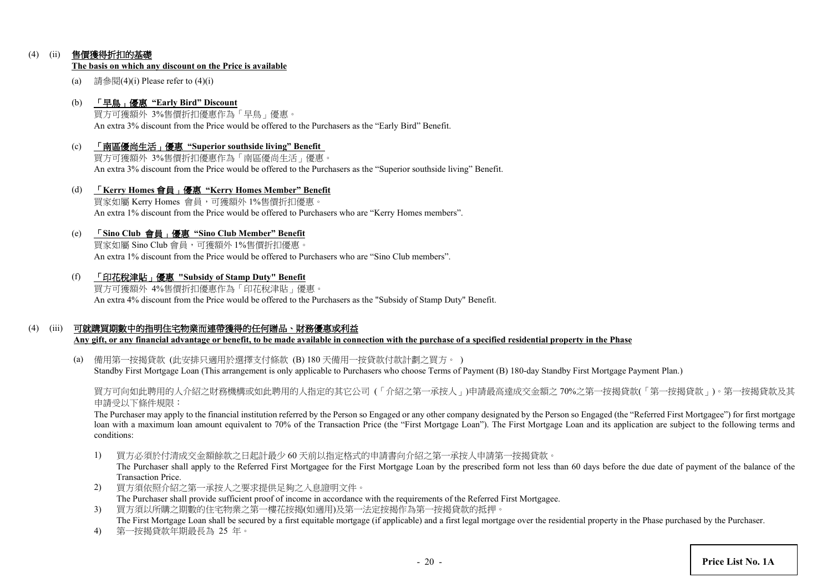## (4) (ii) 售價獲得折扣的基礎

#### **The basis on which any discount on the Price is available**

(a) 請參閱(4)(i) Please refer to  $(4)$ (i)

#### (b) 「早鳥」優惠 **"Early Bird" Discount**

買方可獲額外 3%售價折扣優惠作為「早鳥」優惠。 An extra 3% discount from the Price would be offered to the Purchasers as the "Early Bird" Benefit.

(c) 「南區優尚生活」優惠 **"Superior southside living" Benefit** 買方可獲額外 3%售價折扣優惠作為「南區優尚生活」優惠。

An extra 3% discount from the Price would be offered to the Purchasers as the "Superior southside living" Benefit.

- (d) 「**Kerry Homes** 會員」優惠 **"Kerry Homes Member" Benefit** 買家如屬 Kerry Homes 會員,可獲額外 1%售價折扣優惠。 An extra 1% discount from the Price would be offered to Purchasers who are "Kerry Homes members".
- (e) 「**Sino Club** 會員」優惠 **"Sino Club Member" Benefit**

買家如屬 Sino Club 會員,可獲額外 1%售價折扣優惠。 An extra 1% discount from the Price would be offered to Purchasers who are "Sino Club members".

(f) 「印花稅津貼」優惠 **"Subsidy of Stamp Duty" Benefit**

買方可獲額外 4%售價折扣優惠作為「印花稅津貼」優惠。 An extra 4% discount from the Price would be offered to the Purchasers as the "Subsidy of Stamp Duty" Benefit.

## (4) (iii) 可就購買期數中的指明住宅物業而連帶獲得的任何贈品、財務優惠或利益

**Any gift, or any financial advantage or benefit, to be made available in connection with the purchase of a specified residential property in the Phase**

(a) 備用第一按揭貸款 (此安排只適用於選擇支付條款 (B) 180 天備用一按貸款付款計劃之買方。 ) Standby First Mortgage Loan (This arrangement is only applicable to Purchasers who choose Terms of Payment (B) 180-day Standby First Mortgage Payment Plan.)

買方可向如此聘用的人介紹之財務機構或如此聘用的人指定的其它公司 (「介紹之第一承按人」)申請最高達成交金額之 70%之第一按揭貸款(「第一按揭貸款」)。第一按揭貸款及其 申請受以下條件規限:

The Purchaser may apply to the financial institution referred by the Person so Engaged or any other company designated by the Person so Engaged (the "Referred First Mortgagee") for first mortgage loan with a maximum loan amount equivalent to 70% of the Transaction Price (the "First Mortgage Loan"). The First Mortgage Loan and its application are subject to the following terms and conditions:

1) 買方必須於付清成交金額餘款之日起計最少 60 天前以指定格式的申請書向介紹之第一承按人申請第一按揭貸款。

The Purchaser shall apply to the Referred First Mortgagee for the First Mortgage Loan by the prescribed form not less than 60 days before the due date of payment of the balance of the Transaction Price.

- 2) 買方須依照介紹之第一承按人之要求提供足夠之入息證明文件。 The Purchaser shall provide sufficient proof of income in accordance with the requirements of the Referred First Mortgagee.
- 3) 買方須以所購之期數的住宅物業之第一樓花按揭(如適用)及第一法定按揭作為第一按揭貸款的抵押。 The First Mortgage Loan shall be secured by a first equitable mortgage (if applicable) and a first legal mortgage over the residential property in the Phase purchased by the Purchaser.
- 4) 第一按揭貸款年期最長為 25 年。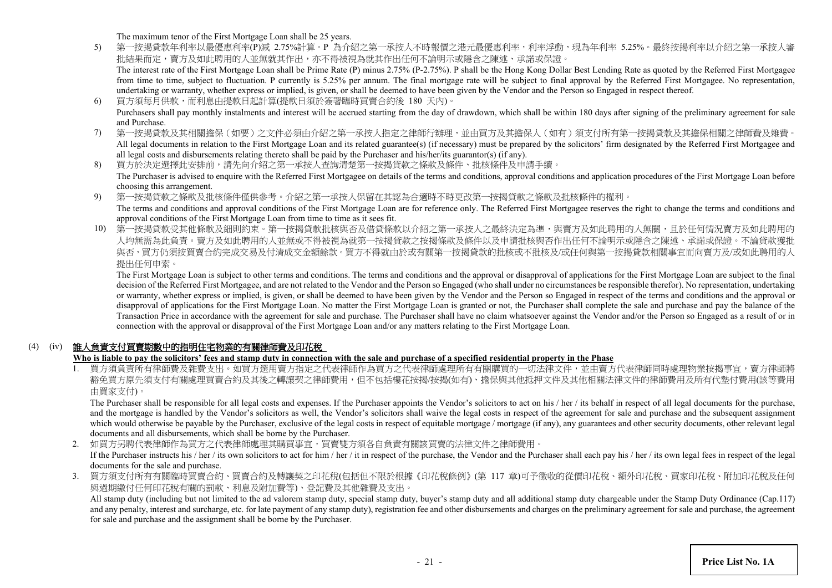The maximum tenor of the First Mortgage Loan shall be 25 years.

5) 第一按揭貸款年利率以最優惠利率(P)減 2.75%計算。P 為介紹之第一承按人不時報價之港元最優惠利率,利率浮動,現為年利率 5.25%。最終按揭利率以介紹之第一承按人審 批結果而定,賣方及如此聘用的人並無就其作出,亦不得被視為就其作出任何不論明示或隱含之陳述、承諾或保證。 The interest rate of the First Mortgage Loan shall be Prime Rate (P) minus 2.75% (P-2.75%). P shall be the Hong Kong Dollar Best Lending Rate as quoted by the Referred First Mortgagee

from time to time, subject to fluctuation. P currently is 5.25% per annum. The final mortgage rate will be subject to final approval by the Referred First Mortgagee. No representation, undertaking or warranty, whether express or implied, is given, or shall be deemed to have been given by the Vendor and the Person so Engaged in respect thereof.

- 6) 買方須每月供款,而利息由提款日起計算(提款日須於簽署臨時買賣合約後 180 天內)。 Purchasers shall pay monthly instalments and interest will be accrued starting from the day of drawdown, which shall be within 180 days after signing of the preliminary agreement for sale and Purchase.
- 7) 第一按揭貸款及其相關擔保(如要)之文件必須由介紹之第一承按人指定之律師行辦理,並由買方及其擔保人(如有)須支付所有第一按揭貸款及其擔保相關之律師費及雜費。 All legal documents in relation to the First Mortgage Loan and its related guarantee(s) (if necessary) must be prepared by the solicitors' firm designated by the Referred First Mortgagee and all legal costs and disbursements relating thereto shall be paid by the Purchaser and his/her/its guarantor(s) (if any).
- 8) 買方於決定選擇此安排前,請先向介紹之第一承按人查詢清楚第一按揭貸款之條款及條件、批核條件及申請手續。 The Purchaser is advised to enquire with the Referred First Mortgagee on details of the terms and conditions, approval conditions and application procedures of the First Mortgage Loan before choosing this arrangement.
- 9) 第一按揭貸款之條款及批核條件僅供參考。介紹之第一承按人保留在其認為合適時不時更改第一按揭貸款之條款及批核條件的權利。 The terms and conditions and approval conditions of the First Mortgage Loan are for reference only. The Referred First Mortgagee reserves the right to change the terms and conditions and approval conditions of the First Mortgage Loan from time to time as it sees fit.
- 10) 第一按揭貸款受其他條款及細則約束。第一按揭貸款批核與否及借貸條款以介紹之第一承按人之最終決定為準,與賣方及如此聘用的人無關,且於任何情況賣方及如此聘用的 人均無需為此負責。賣方及如此聘用的人並無或不得被視為就第一按揭貸款之按揭條款及條件以及申請批核與否作出任何不論明示或隱含之陳述、承諾或保證。不論貸款獲批 與否,買方仍須按買賣合約完成交易及付清成交金額餘款。買方不得就由於或有關第一按揭貸款的批核或不批核及/或任何與第一按揭貸款相關事宜而向賣方及/或如此聘用的人 提出任何申索。

The First Mortgage Loan is subject to other terms and conditions. The terms and conditions and the approval or disapproval of applications for the First Mortgage Loan are subject to the final decision of the Referred First Mortgagee, and are not related to the Vendor and the Person so Engaged (who shall under no circumstances be responsible therefor). No representation, undertaking or warranty, whether express or implied, is given, or shall be deemed to have been given by the Vendor and the Person so Engaged in respect of the terms and conditions and the approval or disapproval of applications for the First Mortgage Loan. No matter the First Mortgage Loan is granted or not, the Purchaser shall complete the sale and purchase and pay the balance of the Transaction Price in accordance with the agreement for sale and purchase. The Purchaser shall have no claim whatsoever against the Vendor and/or the Person so Engaged as a result of or in connection with the approval or disapproval of the First Mortgage Loan and/or any matters relating to the First Mortgage Loan.

## (4) (iv) 誰人負責支付買賣期數中的指明住宅物業的有關律師費及印花稅

## **Who is liable to pay the solicitors' fees and stamp duty in connection with the sale and purchase of a specified residential property in the Phase**

1. 買方須負責所有律師費及雜費支出。如買方選用賣方指定之代表律師作為買方之代表律師處理所有有關購買的一切法律文件,並由賣方代表律師同時處理物業按揭事宜,賣方律師將 豁免買方原先須支付有關處理買賣合約及其後之轉讓契之律師費用,但不包括樓花按揭/按揭(如有)、擔保與其他抵押文件及其他相關法律文件的律師費用及所有代墊付費用(該等費用 由買家支付)。

The Purchaser shall be responsible for all legal costs and expenses. If the Purchaser appoints the Vendor's solicitors to act on his / her / its behalf in respect of all legal documents for the purchase, and the mortgage is handled by the Vendor's solicitors as well, the Vendor's solicitors shall waive the legal costs in respect of the agreement for sale and purchase and the subsequent assignment which would otherwise be payable by the Purchaser, exclusive of the legal costs in respect of equitable mortgage / mortgage (if any), any guarantees and other security documents, other relevant legal documents and all disbursements, which shall be borne by the Purchaser.

2. 如買方另聘代表律師作為買方之代表律師處理其購買事宜,買賣雙方須各自負責有關該買賣的法律文件之律師費用。 If the Purchaser instructs his / her / its own solicitors to act for him / her / it in respect of the purchase, the Vendor and the Purchaser shall each pay his / her / its own legal fees in respect of the legal documents for the sale and purchase.

3. 買方須支付所有有關臨時買賣合約、買賣合約及轉讓契之印花稅(包括但不限於根據《印花稅條例》(第 117 章)可予徵收的從價印花稅、額外印花稅、買家印花稅、附加印花稅及任何 與過期繳付任何印花稅有關的罰款、利息及附加費等)、登記費及其他雜費及支出。

All stamp duty (including but not limited to the ad valorem stamp duty, special stamp duty, buyer's stamp duty and all additional stamp duty chargeable under the Stamp Duty Ordinance (Cap.117) and any penalty, interest and surcharge, etc. for late payment of any stamp duty), registration fee and other disbursements and charges on the preliminary agreement for sale and purchase, the agreement for sale and purchase and the assignment shall be borne by the Purchaser.